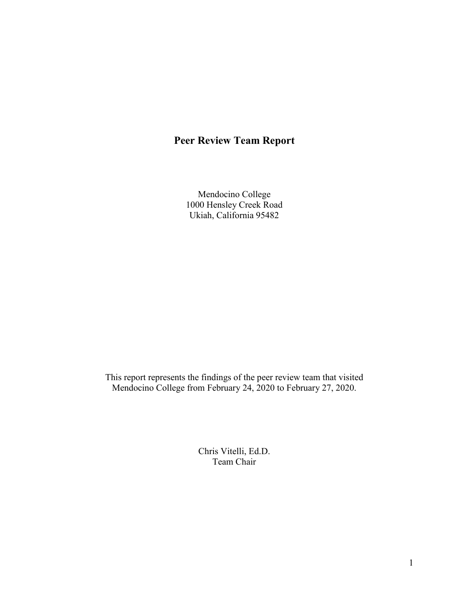# **Peer Review Team Report**

Mendocino College 1000 Hensley Creek Road Ukiah, California 95482

This report represents the findings of the peer review team that visited Mendocino College from February 24, 2020 to February 27, 2020.

> Chris Vitelli, Ed.D. Team Chair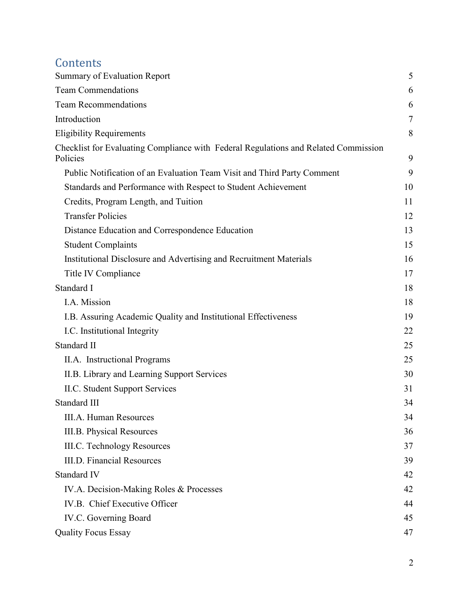# **Contents**

| Summary of Evaluation Report                                                                    | 5              |
|-------------------------------------------------------------------------------------------------|----------------|
| <b>Team Commendations</b>                                                                       | 6              |
| <b>Team Recommendations</b>                                                                     | 6              |
| Introduction                                                                                    | $\overline{7}$ |
| <b>Eligibility Requirements</b>                                                                 | 8              |
| Checklist for Evaluating Compliance with Federal Regulations and Related Commission<br>Policies | 9              |
| Public Notification of an Evaluation Team Visit and Third Party Comment                         | 9              |
| Standards and Performance with Respect to Student Achievement                                   | 10             |
| Credits, Program Length, and Tuition                                                            | 11             |
| <b>Transfer Policies</b>                                                                        | 12             |
| Distance Education and Correspondence Education                                                 | 13             |
| <b>Student Complaints</b>                                                                       | 15             |
| Institutional Disclosure and Advertising and Recruitment Materials                              | 16             |
| Title IV Compliance                                                                             | 17             |
| Standard I                                                                                      | 18             |
| I.A. Mission                                                                                    | 18             |
| I.B. Assuring Academic Quality and Institutional Effectiveness                                  | 19             |
| I.C. Institutional Integrity                                                                    | 22             |
| Standard II                                                                                     | 25             |
| II.A. Instructional Programs                                                                    | 25             |
| II.B. Library and Learning Support Services                                                     | 30             |
| II.C. Student Support Services                                                                  | 31             |
| Standard III                                                                                    | 34             |
| III.A. Human Resources                                                                          | 34             |
| <b>III.B. Physical Resources</b>                                                                | 36             |
| <b>III.C.</b> Technology Resources                                                              | 37             |
| <b>III.D. Financial Resources</b>                                                               | 39             |
| Standard IV                                                                                     | 42             |
| IV.A. Decision-Making Roles & Processes                                                         | 42             |
| IV.B. Chief Executive Officer                                                                   | 44             |
| IV.C. Governing Board                                                                           | 45             |
| <b>Quality Focus Essay</b>                                                                      | 47             |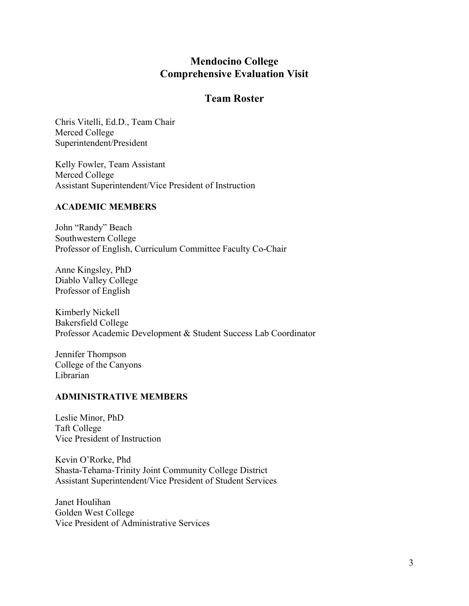## **Mendocino College Comprehensive Evaluation Visit**

## **Team Roster**

Chris Vitelli, Ed.D., Team Chair Merced College Superintendent/President

Kelly Fowler, Team Assistant Merced College Assistant Superintendent/Vice President of Instruction

#### **ACADEMIC MEMBERS**

John "Randy" Beach Southwestern College Professor of English, Curriculum Committee Faculty Co-Chair

Anne Kingsley, PhD Diablo Valley College Professor of English

Kimberly Nickell Bakersfield College Professor Academic Development & Student Success Lab Coordinator

Jennifer Thompson College of the Canyons Librarian

#### **ADMINISTRATIVE MEMBERS**

Leslie Minor, PhD Taft College Vice President of Instruction

Kevin O'Rorke, Phd Shasta-Tehama-Trinity Joint Community College District Assistant Superintendent/Vice President of Student Services

Janet Houlihan Golden West College Vice President of Administrative Services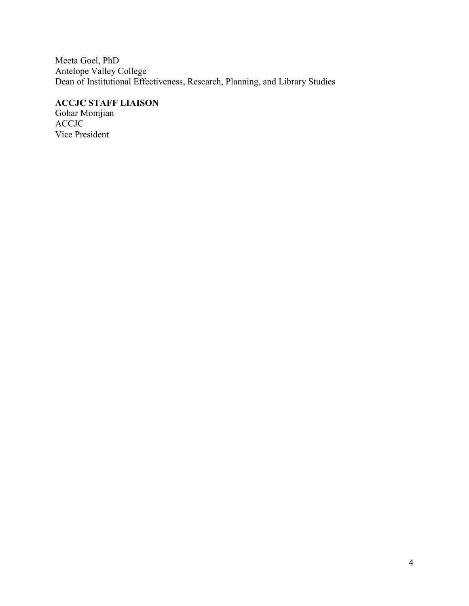Meeta Goel, PhD Antelope Valley College Dean of Institutional Effectiveness, Research, Planning, and Library Studies

## **ACCJC STAFF LIAISON**

Gohar Momjian ACCJC Vice President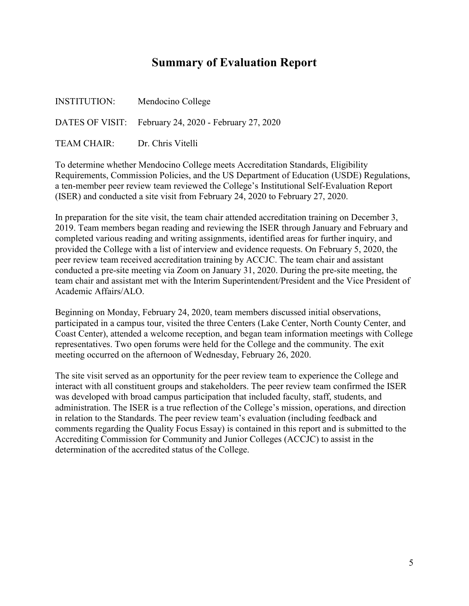# **Summary of Evaluation Report**

<span id="page-4-0"></span>

| INSTITUTION: | Mendocino College                                     |
|--------------|-------------------------------------------------------|
|              | DATES OF VISIT: February 24, 2020 - February 27, 2020 |
| TEAM CHAIR:  | Dr. Chris Vitelli                                     |

To determine whether Mendocino College meets Accreditation Standards, Eligibility Requirements, Commission Policies, and the US Department of Education (USDE) Regulations, a ten-member peer review team reviewed the College's Institutional Self-Evaluation Report (ISER) and conducted a site visit from February 24, 2020 to February 27, 2020.

In preparation for the site visit, the team chair attended accreditation training on December 3, 2019. Team members began reading and reviewing the ISER through January and February and completed various reading and writing assignments, identified areas for further inquiry, and provided the College with a list of interview and evidence requests. On February 5, 2020, the peer review team received accreditation training by ACCJC. The team chair and assistant conducted a pre-site meeting via Zoom on January 31, 2020. During the pre-site meeting, the team chair and assistant met with the Interim Superintendent/President and the Vice President of Academic Affairs/ALO.

Beginning on Monday, February 24, 2020, team members discussed initial observations, participated in a campus tour, visited the three Centers (Lake Center, North County Center, and Coast Center), attended a welcome reception, and began team information meetings with College representatives. Two open forums were held for the College and the community. The exit meeting occurred on the afternoon of Wednesday, February 26, 2020.

The site visit served as an opportunity for the peer review team to experience the College and interact with all constituent groups and stakeholders. The peer review team confirmed the ISER was developed with broad campus participation that included faculty, staff, students, and administration. The ISER is a true reflection of the College's mission, operations, and direction in relation to the Standards. The peer review team's evaluation (including feedback and comments regarding the Quality Focus Essay) is contained in this report and is submitted to the Accrediting Commission for Community and Junior Colleges (ACCJC) to assist in the determination of the accredited status of the College.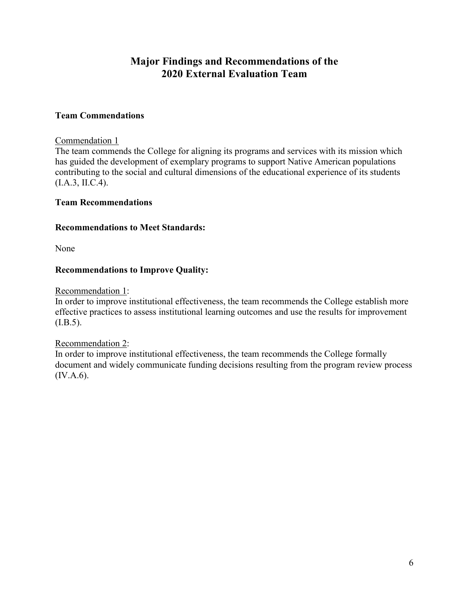## **Major Findings and Recommendations of the 2020 External Evaluation Team**

#### <span id="page-5-0"></span>**Team Commendations**

#### Commendation 1

The team commends the College for aligning its programs and services with its mission which has guided the development of exemplary programs to support Native American populations contributing to the social and cultural dimensions of the educational experience of its students (I.A.3, II.C.4).

#### <span id="page-5-1"></span>**Team Recommendations**

#### **Recommendations to Meet Standards:**

None

#### **Recommendations to Improve Quality:**

#### Recommendation 1:

In order to improve institutional effectiveness, the team recommends the College establish more effective practices to assess institutional learning outcomes and use the results for improvement  $(I.B.5).$ 

#### Recommendation 2:

In order to improve institutional effectiveness, the team recommends the College formally document and widely communicate funding decisions resulting from the program review process (IV.A.6).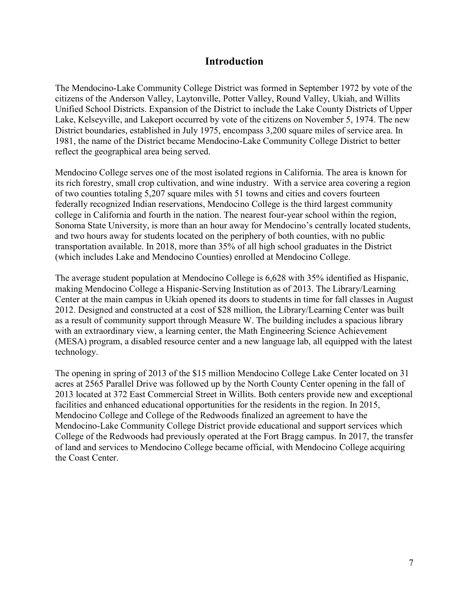### **Introduction**

<span id="page-6-0"></span>The Mendocino-Lake Community College District was formed in September 1972 by vote of the citizens of the Anderson Valley, Laytonville, Potter Valley, Round Valley, Ukiah, and Willits Unified School Districts. Expansion of the District to include the Lake County Districts of Upper Lake, Kelseyville, and Lakeport occurred by vote of the citizens on November 5, 1974. The new District boundaries, established in July 1975, encompass 3,200 square miles of service area. In 1981, the name of the District became Mendocino-Lake Community College District to better reflect the geographical area being served.

Mendocino College serves one of the most isolated regions in California. The area is known for its rich forestry, small crop cultivation, and wine industry. With a service area covering a region of two counties totaling 5,207 square miles with 51 towns and cities and covers fourteen federally recognized Indian reservations, Mendocino College is the third largest community college in California and fourth in the nation. The nearest four-year school within the region, Sonoma State University, is more than an hour away for Mendocino's centrally located students, and two hours away for students located on the periphery of both counties, with no public transportation available. In 2018, more than 35% of all high school graduates in the District (which includes Lake and Mendocino Counties) enrolled at Mendocino College.

The average student population at Mendocino College is 6,628 with 35% identified as Hispanic, making Mendocino College a Hispanic-Serving Institution as of 2013. The Library/Learning Center at the main campus in Ukiah opened its doors to students in time for fall classes in August 2012. Designed and constructed at a cost of \$28 million, the Library/Learning Center was built as a result of community support through Measure W. The building includes a spacious library with an extraordinary view, a learning center, the Math Engineering Science Achievement (MESA) program, a disabled resource center and a new language lab, all equipped with the latest technology.

The opening in spring of 2013 of the \$15 million Mendocino College Lake Center located on 31 acres at 2565 Parallel Drive was followed up by the North County Center opening in the fall of 2013 located at 372 East Commercial Street in Willits. Both centers provide new and exceptional facilities and enhanced educational opportunities for the residents in the region. In 2015, Mendocino College and College of the Redwoods finalized an agreement to have the Mendocino-Lake Community College District provide educational and support services which College of the Redwoods had previously operated at the Fort Bragg campus. In 2017, the transfer of land and services to Mendocino College became official, with Mendocino College acquiring the Coast Center.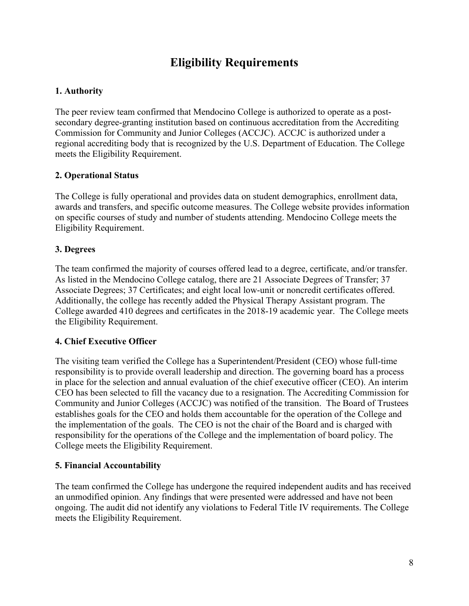# **Eligibility Requirements**

### <span id="page-7-0"></span>**1. Authority**

The peer review team confirmed that Mendocino College is authorized to operate as a postsecondary degree-granting institution based on continuous accreditation from the Accrediting Commission for Community and Junior Colleges (ACCJC). ACCJC is authorized under a regional accrediting body that is recognized by the U.S. Department of Education. The College meets the Eligibility Requirement.

#### **2. Operational Status**

The College is fully operational and provides data on student demographics, enrollment data, awards and transfers, and specific outcome measures. The College website provides information on specific courses of study and number of students attending. Mendocino College meets the Eligibility Requirement.

#### **3. Degrees**

The team confirmed the majority of courses offered lead to a degree, certificate, and/or transfer. As listed in the Mendocino College catalog, there are 21 Associate Degrees of Transfer; 37 Associate Degrees; 37 Certificates; and eight local low-unit or noncredit certificates offered. Additionally, the college has recently added the Physical Therapy Assistant program. The College awarded 410 degrees and certificates in the 2018-19 academic year. The College meets the Eligibility Requirement.

#### **4. Chief Executive Officer**

The visiting team verified the College has a Superintendent/President (CEO) whose full-time responsibility is to provide overall leadership and direction. The governing board has a process in place for the selection and annual evaluation of the chief executive officer (CEO). An interim CEO has been selected to fill the vacancy due to a resignation. The Accrediting Commission for Community and Junior Colleges (ACCJC) was notified of the transition. The Board of Trustees establishes goals for the CEO and holds them accountable for the operation of the College and the implementation of the goals. The CEO is not the chair of the Board and is charged with responsibility for the operations of the College and the implementation of board policy. The College meets the Eligibility Requirement.

#### **5. Financial Accountability**

The team confirmed the College has undergone the required independent audits and has received an unmodified opinion. Any findings that were presented were addressed and have not been ongoing. The audit did not identify any violations to Federal Title IV requirements. The College meets the Eligibility Requirement.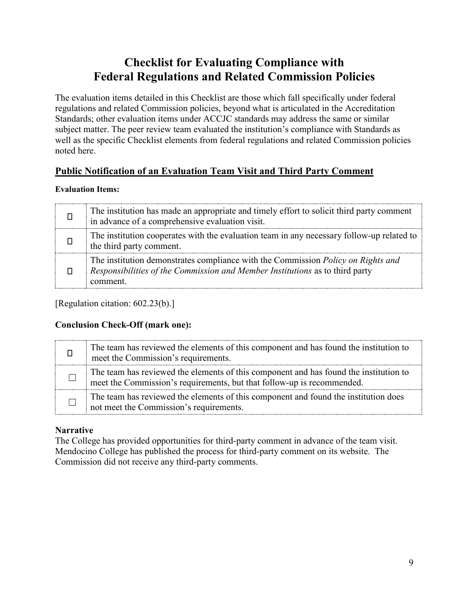# **Checklist for Evaluating Compliance with Federal Regulations and Related Commission Policies**

<span id="page-8-0"></span>The evaluation items detailed in this Checklist are those which fall specifically under federal regulations and related Commission policies, beyond what is articulated in the Accreditation Standards; other evaluation items under ACCJC standards may address the same or similar subject matter. The peer review team evaluated the institution's compliance with Standards as well as the specific Checklist elements from federal regulations and related Commission policies noted here.

## <span id="page-8-1"></span>**Public Notification of an Evaluation Team Visit and Third Party Comment**

#### **Evaluation Items:**

| The institution has made an appropriate and timely effort to solicit third party comment<br>in advance of a comprehensive evaluation visit.                                         |
|-------------------------------------------------------------------------------------------------------------------------------------------------------------------------------------|
| The institution cooperates with the evaluation team in any necessary follow-up related to<br>the third party comment.                                                               |
| The institution demonstrates compliance with the Commission <i>Policy on Rights and</i><br>Responsibilities of the Commission and Member Institutions as to third party<br>comment. |

[Regulation citation: 602.23(b).]

### **Conclusion Check-Off (mark one):**

| The team has reviewed the elements of this component and has found the institution to<br>meet the Commission's requirements.                                    |
|-----------------------------------------------------------------------------------------------------------------------------------------------------------------|
| The team has reviewed the elements of this component and has found the institution to<br>meet the Commission's requirements, but that follow-up is recommended. |
| The team has reviewed the elements of this component and found the institution does<br>not meet the Commission's requirements.                                  |

### **Narrative**

The College has provided opportunities for third-party comment in advance of the team visit. Mendocino College has published the process for third-party comment on its website. The Commission did not receive any third-party comments.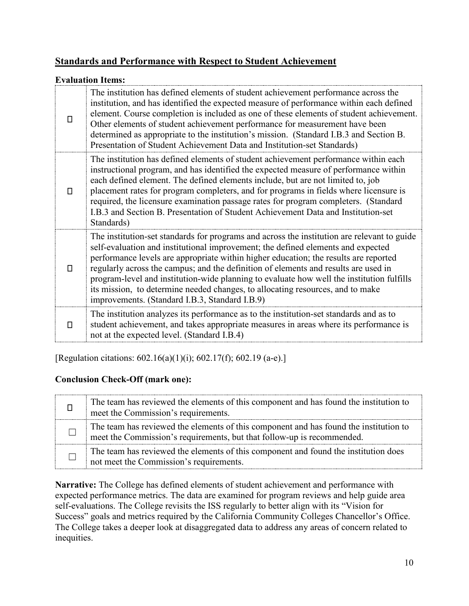## <span id="page-9-0"></span>**Standards and Performance with Respect to Student Achievement**

#### **Evaluation Items:**

| П  | The institution has defined elements of student achievement performance across the<br>institution, and has identified the expected measure of performance within each defined<br>element. Course completion is included as one of these elements of student achievement.<br>Other elements of student achievement performance for measurement have been<br>determined as appropriate to the institution's mission. (Standard I.B.3 and Section B.<br>Presentation of Student Achievement Data and Institution-set Standards)                                                                    |
|----|-------------------------------------------------------------------------------------------------------------------------------------------------------------------------------------------------------------------------------------------------------------------------------------------------------------------------------------------------------------------------------------------------------------------------------------------------------------------------------------------------------------------------------------------------------------------------------------------------|
| П. | The institution has defined elements of student achievement performance within each<br>instructional program, and has identified the expected measure of performance within<br>each defined element. The defined elements include, but are not limited to, job<br>placement rates for program completers, and for programs in fields where licensure is<br>required, the licensure examination passage rates for program completers. (Standard<br>I.B.3 and Section B. Presentation of Student Achievement Data and Institution-set<br>Standards)                                               |
| п  | The institution-set standards for programs and across the institution are relevant to guide<br>self-evaluation and institutional improvement; the defined elements and expected<br>performance levels are appropriate within higher education; the results are reported<br>regularly across the campus; and the definition of elements and results are used in<br>program-level and institution-wide planning to evaluate how well the institution fulfills<br>its mission, to determine needed changes, to allocating resources, and to make<br>improvements. (Standard I.B.3, Standard I.B.9) |
| П. | The institution analyzes its performance as to the institution-set standards and as to<br>student achievement, and takes appropriate measures in areas where its performance is<br>not at the expected level. (Standard I.B.4)                                                                                                                                                                                                                                                                                                                                                                  |

[Regulation citations: 602.16(a)(1)(i); 602.17(f); 602.19 (a-e).]

### **Conclusion Check-Off (mark one):**

| The team has reviewed the elements of this component and has found the institution to<br>meet the Commission's requirements.                                    |
|-----------------------------------------------------------------------------------------------------------------------------------------------------------------|
| The team has reviewed the elements of this component and has found the institution to<br>meet the Commission's requirements, but that follow-up is recommended. |
| The team has reviewed the elements of this component and found the institution does<br>not meet the Commission's requirements.                                  |

**Narrative:** The College has defined elements of student achievement and performance with expected performance metrics. The data are examined for program reviews and help guide area self-evaluations. The College revisits the ISS regularly to better align with its "Vision for Success" goals and metrics required by the California Community Colleges Chancellor's Office. The College takes a deeper look at disaggregated data to address any areas of concern related to inequities.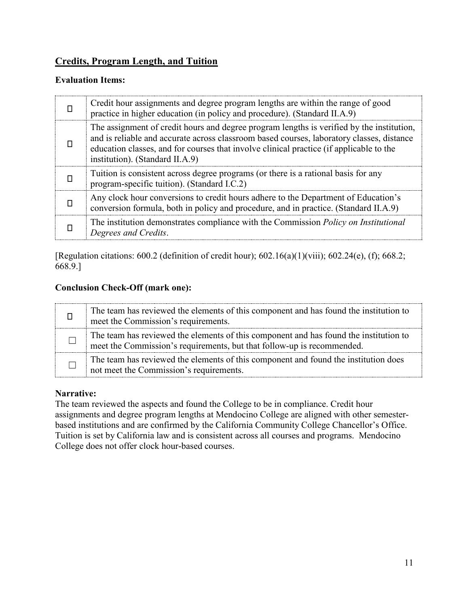## <span id="page-10-0"></span>**Credits, Program Length, and Tuition**

### **Evaluation Items:**

| Credit hour assignments and degree program lengths are within the range of good<br>practice in higher education (in policy and procedure). (Standard II.A.9)                                                                                                                                                         |
|----------------------------------------------------------------------------------------------------------------------------------------------------------------------------------------------------------------------------------------------------------------------------------------------------------------------|
| The assignment of credit hours and degree program lengths is verified by the institution,<br>and is reliable and accurate across classroom based courses, laboratory classes, distance<br>education classes, and for courses that involve clinical practice (if applicable to the<br>institution). (Standard II.A.9) |
| Tuition is consistent across degree programs (or there is a rational basis for any<br>program-specific tuition). (Standard I.C.2)                                                                                                                                                                                    |
| Any clock hour conversions to credit hours adhere to the Department of Education's<br>conversion formula, both in policy and procedure, and in practice. (Standard II.A.9)                                                                                                                                           |
| The institution demonstrates compliance with the Commission <i>Policy on Institutional</i><br>Degrees and Credits.                                                                                                                                                                                                   |

[Regulation citations: 600.2 (definition of credit hour); 602.16(a)(1)(viii); 602.24(e), (f); 668.2; 668.9.]

## **Conclusion Check-Off (mark one):**

| The team has reviewed the elements of this component and has found the institution to<br>meet the Commission's requirements.                                    |
|-----------------------------------------------------------------------------------------------------------------------------------------------------------------|
| The team has reviewed the elements of this component and has found the institution to<br>meet the Commission's requirements, but that follow-up is recommended. |
| The team has reviewed the elements of this component and found the institution does<br>not meet the Commission's requirements.                                  |

## **Narrative:**

The team reviewed the aspects and found the College to be in compliance. Credit hour assignments and degree program lengths at Mendocino College are aligned with other semesterbased institutions and are confirmed by the California Community College Chancellor's Office. Tuition is set by California law and is consistent across all courses and programs. Mendocino College does not offer clock hour-based courses.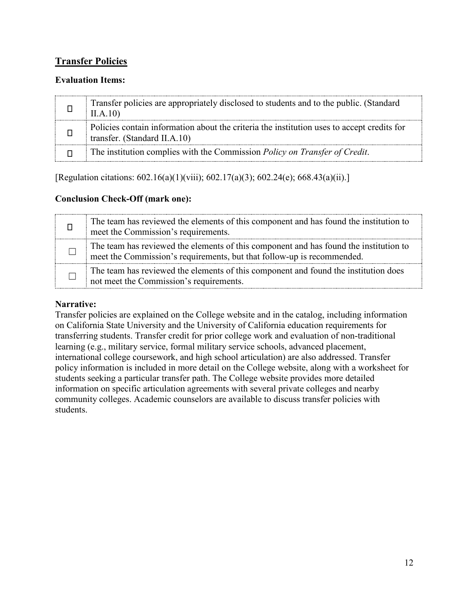## <span id="page-11-0"></span>**Transfer Policies**

### **Evaluation Items:**

| Transfer policies are appropriately disclosed to students and to the public. (Standard<br>II.A.10                          |
|----------------------------------------------------------------------------------------------------------------------------|
| Policies contain information about the criteria the institution uses to accept credits for<br>transfer. (Standard II.A.10) |
| The institution complies with the Commission Policy on Transfer of Credit.                                                 |

[Regulation citations: 602.16(a)(1)(viii); 602.17(a)(3); 602.24(e); 668.43(a)(ii).]

### **Conclusion Check-Off (mark one):**

| The team has reviewed the elements of this component and has found the institution to<br>meet the Commission's requirements.                                    |
|-----------------------------------------------------------------------------------------------------------------------------------------------------------------|
| The team has reviewed the elements of this component and has found the institution to<br>meet the Commission's requirements, but that follow-up is recommended. |
| The team has reviewed the elements of this component and found the institution does<br>not meet the Commission's requirements.                                  |

### **Narrative:**

Transfer policies are explained on the College website and in the catalog, including information on California State University and the University of California education requirements for transferring students. Transfer credit for prior college work and evaluation of non-traditional learning (e.g., military service, formal military service schools, advanced placement, international college coursework, and high school articulation) are also addressed. Transfer policy information is included in more detail on the College website, along with a worksheet for students seeking a particular transfer path. The College website provides more detailed information on specific articulation agreements with several private colleges and nearby community colleges. Academic counselors are available to discuss transfer policies with students.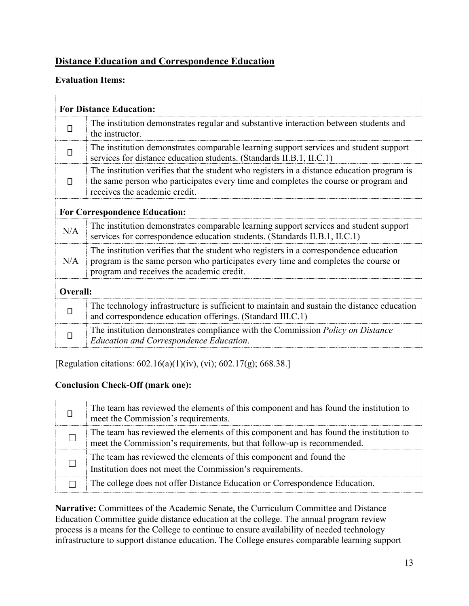## <span id="page-12-0"></span>**Distance Education and Correspondence Education**

### **Evaluation Items:**

| <b>For Distance Education:</b>       |                                                                                                                                                                                                                          |  |
|--------------------------------------|--------------------------------------------------------------------------------------------------------------------------------------------------------------------------------------------------------------------------|--|
| П                                    | The institution demonstrates regular and substantive interaction between students and<br>the instructor.                                                                                                                 |  |
| п                                    | The institution demonstrates comparable learning support services and student support<br>services for distance education students. (Standards II.B.1, II.C.1)                                                            |  |
| П                                    | The institution verifies that the student who registers in a distance education program is<br>the same person who participates every time and completes the course or program and<br>receives the academic credit.       |  |
| <b>For Correspondence Education:</b> |                                                                                                                                                                                                                          |  |
| N/A                                  | The institution demonstrates comparable learning support services and student support<br>services for correspondence education students. (Standards II.B.1, II.C.1)                                                      |  |
| N/A                                  | The institution verifies that the student who registers in a correspondence education<br>program is the same person who participates every time and completes the course or<br>program and receives the academic credit. |  |
| Overall:                             |                                                                                                                                                                                                                          |  |
| $\Box$                               | The technology infrastructure is sufficient to maintain and sustain the distance education<br>and correspondence education offerings. (Standard III.C.1)                                                                 |  |
| П                                    | The institution demonstrates compliance with the Commission <i>Policy on Distance</i><br><b>Education and Correspondence Education.</b>                                                                                  |  |

[Regulation citations: 602.16(a)(1)(iv), (vi); 602.17(g); 668.38.]

### **Conclusion Check-Off (mark one):**

| The team has reviewed the elements of this component and has found the institution to<br>meet the Commission's requirements.                                    |
|-----------------------------------------------------------------------------------------------------------------------------------------------------------------|
| The team has reviewed the elements of this component and has found the institution to<br>meet the Commission's requirements, but that follow-up is recommended. |
| The team has reviewed the elements of this component and found the<br>Institution does not meet the Commission's requirements.                                  |
| The college does not offer Distance Education or Correspondence Education.                                                                                      |

**Narrative:** Committees of the Academic Senate, the Curriculum Committee and Distance Education Committee guide distance education at the college. The annual program review process is a means for the College to continue to ensure availability of needed technology infrastructure to support distance education. The College ensures comparable learning support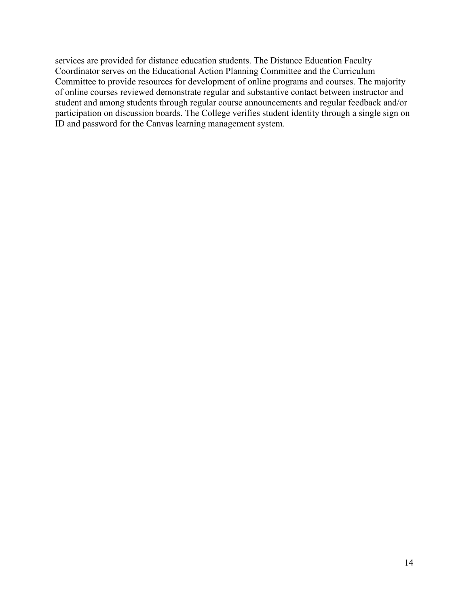services are provided for distance education students. The Distance Education Faculty Coordinator serves on the Educational Action Planning Committee and the Curriculum Committee to provide resources for development of online programs and courses. The majority of online courses reviewed demonstrate regular and substantive contact between instructor and student and among students through regular course announcements and regular feedback and/or participation on discussion boards. The College verifies student identity through a single sign on ID and password for the Canvas learning management system.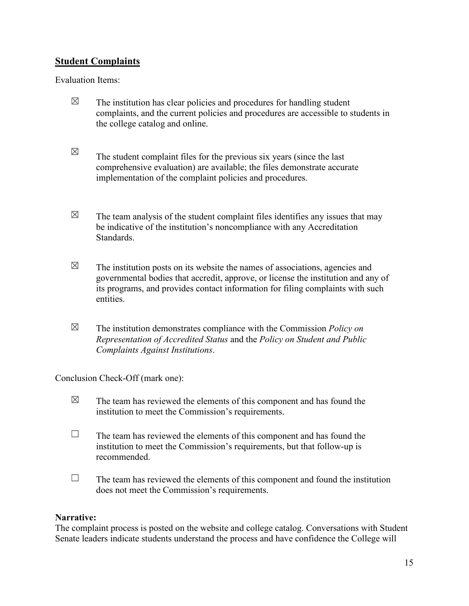## <span id="page-14-0"></span>**Student Complaints**

Evaluation Items:

| ⊠           | The institution has clear policies and procedures for handling student<br>complaints, and the current policies and procedures are accessible to students in<br>the college catalog and online.                                                                   |
|-------------|------------------------------------------------------------------------------------------------------------------------------------------------------------------------------------------------------------------------------------------------------------------|
| $\boxtimes$ | The student complaint files for the previous six years (since the last<br>comprehensive evaluation) are available; the files demonstrate accurate<br>implementation of the complaint policies and procedures.                                                    |
| $\boxtimes$ | The team analysis of the student complaint files identifies any issues that may<br>be indicative of the institution's noncompliance with any Accreditation<br>Standards.                                                                                         |
| $\boxtimes$ | The institution posts on its website the names of associations, agencies and<br>governmental bodies that accredit, approve, or license the institution and any of<br>its programs, and provides contact information for filing complaints with such<br>entities. |
| $\boxtimes$ | The institution demonstrates compliance with the Commission <i>Policy on</i><br>Representation of Accredited Status and the Policy on Student and Public<br>Complaints Against Institutions.                                                                     |

Conclusion Check-Off (mark one):

| $\boxtimes$ | The team has reviewed the elements of this component and has found the<br>institution to meet the Commission's requirements.                                       |
|-------------|--------------------------------------------------------------------------------------------------------------------------------------------------------------------|
|             | The team has reviewed the elements of this component and has found the<br>institution to meet the Commission's requirements, but that follow-up is<br>recommended. |
|             | The team has reviewed the elements of this component and found the institution<br>does not meet the Commission's requirements.                                     |

#### **Narrative:**

The complaint process is posted on the website and college catalog. Conversations with Student Senate leaders indicate students understand the process and have confidence the College will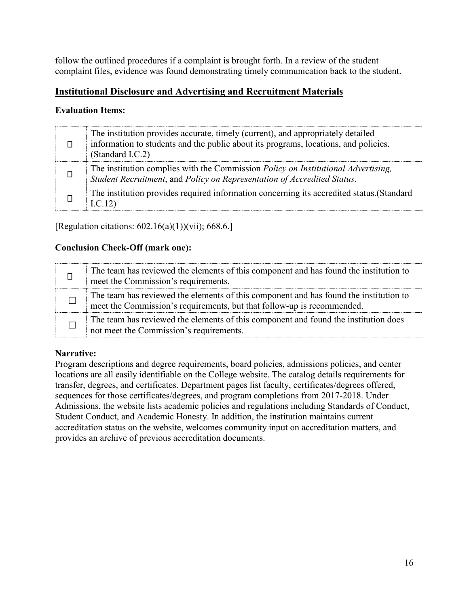follow the outlined procedures if a complaint is brought forth. In a review of the student complaint files, evidence was found demonstrating timely communication back to the student.

## <span id="page-15-0"></span>**Institutional Disclosure and Advertising and Recruitment Materials**

### **Evaluation Items:**

| The institution provides accurate, timely (current), and appropriately detailed<br>information to students and the public about its programs, locations, and policies.<br>(Standard I.C.2) |
|--------------------------------------------------------------------------------------------------------------------------------------------------------------------------------------------|
| The institution complies with the Commission <i>Policy on Institutional Advertising</i> ,<br>Student Recruitment, and Policy on Representation of Accredited Status.                       |
| The institution provides required information concerning its accredited status. (Standard<br>I.C.12)                                                                                       |

[Regulation citations:  $602.16(a)(1)$ )(vii); 668.6.]

### **Conclusion Check-Off (mark one):**

| The team has reviewed the elements of this component and has found the institution to<br>meet the Commission's requirements.                                    |
|-----------------------------------------------------------------------------------------------------------------------------------------------------------------|
| The team has reviewed the elements of this component and has found the institution to<br>meet the Commission's requirements, but that follow-up is recommended. |
| The team has reviewed the elements of this component and found the institution does<br>not meet the Commission's requirements.                                  |

#### **Narrative:**

Program descriptions and degree requirements, board policies, admissions policies, and center locations are all easily identifiable on the College website. The catalog details requirements for transfer, degrees, and certificates. Department pages list faculty, certificates/degrees offered, sequences for those certificates/degrees, and program completions from 2017-2018. Under Admissions, the website lists academic policies and regulations including Standards of Conduct, Student Conduct, and Academic Honesty. In addition, the institution maintains current accreditation status on the website, welcomes community input on accreditation matters, and provides an archive of previous accreditation documents.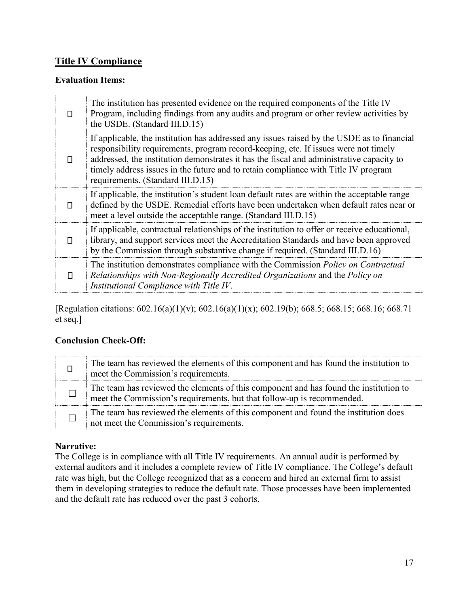### <span id="page-16-0"></span>**Title IV Compliance**

#### **Evaluation Items:**

| п | The institution has presented evidence on the required components of the Title IV<br>Program, including findings from any audits and program or other review activities by<br>the USDE. (Standard III.D.15)                                                                                                                                                                                              |
|---|----------------------------------------------------------------------------------------------------------------------------------------------------------------------------------------------------------------------------------------------------------------------------------------------------------------------------------------------------------------------------------------------------------|
| п | If applicable, the institution has addressed any issues raised by the USDE as to financial<br>responsibility requirements, program record-keeping, etc. If issues were not timely<br>addressed, the institution demonstrates it has the fiscal and administrative capacity to<br>timely address issues in the future and to retain compliance with Title IV program<br>requirements. (Standard III.D.15) |
| п | If applicable, the institution's student loan default rates are within the acceptable range<br>defined by the USDE. Remedial efforts have been undertaken when default rates near or<br>meet a level outside the acceptable range. (Standard III.D.15)                                                                                                                                                   |
| п | If applicable, contractual relationships of the institution to offer or receive educational,<br>library, and support services meet the Accreditation Standards and have been approved<br>by the Commission through substantive change if required. (Standard III.D.16)                                                                                                                                   |
| п | The institution demonstrates compliance with the Commission <i>Policy on Contractual</i><br>Relationships with Non-Regionally Accredited Organizations and the Policy on<br>Institutional Compliance with Title IV.                                                                                                                                                                                      |

[Regulation citations: 602.16(a)(1)(v); 602.16(a)(1)(x); 602.19(b); 668.5; 668.15; 668.16; 668.71 et seq.]

### **Conclusion Check-Off:**

| The team has reviewed the elements of this component and has found the institution to<br>meet the Commission's requirements.                                    |
|-----------------------------------------------------------------------------------------------------------------------------------------------------------------|
| The team has reviewed the elements of this component and has found the institution to<br>meet the Commission's requirements, but that follow-up is recommended. |
| The team has reviewed the elements of this component and found the institution does<br>not meet the Commission's requirements.                                  |

### **Narrative:**

The College is in compliance with all Title IV requirements. An annual audit is performed by external auditors and it includes a complete review of Title IV compliance. The College's default rate was high, but the College recognized that as a concern and hired an external firm to assist them in developing strategies to reduce the default rate. Those processes have been implemented and the default rate has reduced over the past 3 cohorts.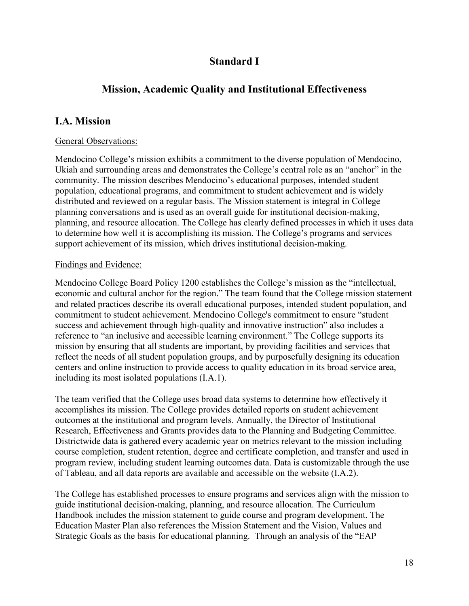## **Standard I**

## <span id="page-17-0"></span>**Mission, Academic Quality and Institutional Effectiveness**

## <span id="page-17-1"></span>**I.A. Mission**

#### General Observations:

Mendocino College's mission exhibits a commitment to the diverse population of Mendocino, Ukiah and surrounding areas and demonstrates the College's central role as an "anchor" in the community. The mission describes Mendocino's educational purposes, intended student population, educational programs, and commitment to student achievement and is widely distributed and reviewed on a regular basis. The Mission statement is integral in College planning conversations and is used as an overall guide for institutional decision-making, planning, and resource allocation. The College has clearly defined processes in which it uses data to determine how well it is accomplishing its mission. The College's programs and services support achievement of its mission, which drives institutional decision-making.

#### Findings and Evidence:

Mendocino College Board Policy 1200 establishes the College's mission as the "intellectual, economic and cultural anchor for the region." The team found that the College mission statement and related practices describe its overall educational purposes, intended student population, and commitment to student achievement. Mendocino College's commitment to ensure "student success and achievement through high-quality and innovative instruction" also includes a reference to "an inclusive and accessible learning environment." The College supports its mission by ensuring that all students are important, by providing facilities and services that reflect the needs of all student population groups, and by purposefully designing its education centers and online instruction to provide access to quality education in its broad service area, including its most isolated populations (I.A.1).

The team verified that the College uses broad data systems to determine how effectively it accomplishes its mission. The College provides detailed reports on student achievement outcomes at the institutional and program levels. Annually, the Director of Institutional Research, Effectiveness and Grants provides data to the Planning and Budgeting Committee. Districtwide data is gathered every academic year on metrics relevant to the mission including course completion, student retention, degree and certificate completion, and transfer and used in program review, including student learning outcomes data. Data is customizable through the use of Tableau, and all data reports are available and accessible on the website (I.A.2).

The College has established processes to ensure programs and services align with the mission to guide institutional decision-making, planning, and resource allocation. The Curriculum Handbook includes the mission statement to guide course and program development. The Education Master Plan also references the Mission Statement and the Vision, Values and Strategic Goals as the basis for educational planning. Through an analysis of the "EAP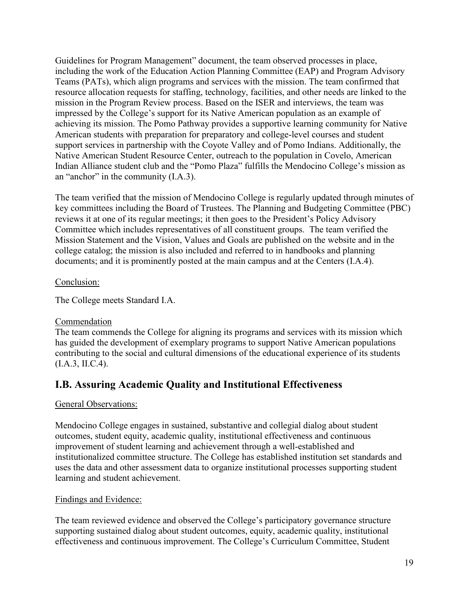Guidelines for Program Management" document, the team observed processes in place, including the work of the Education Action Planning Committee (EAP) and Program Advisory Teams (PATs), which align programs and services with the mission. The team confirmed that resource allocation requests for staffing, technology, facilities, and other needs are linked to the mission in the Program Review process. Based on the ISER and interviews, the team was impressed by the College's support for its Native American population as an example of achieving its mission. The Pomo Pathway provides a supportive learning community for Native American students with preparation for preparatory and college-level courses and student support services in partnership with the Coyote Valley and of Pomo Indians. Additionally, the Native American Student Resource Center, outreach to the population in Covelo, American Indian Alliance student club and the "Pomo Plaza" fulfills the Mendocino College's mission as an "anchor" in the community (I.A.3).

The team verified that the mission of Mendocino College is regularly updated through minutes of key committees including the Board of Trustees. The Planning and Budgeting Committee (PBC) reviews it at one of its regular meetings; it then goes to the President's Policy Advisory Committee which includes representatives of all constituent groups. The team verified the Mission Statement and the Vision, Values and Goals are published on the website and in the college catalog; the mission is also included and referred to in handbooks and planning documents; and it is prominently posted at the main campus and at the Centers (I.A.4).

#### Conclusion:

The College meets Standard I.A.

### Commendation

The team commends the College for aligning its programs and services with its mission which has guided the development of exemplary programs to support Native American populations contributing to the social and cultural dimensions of the educational experience of its students (I.A.3, II.C.4).

## <span id="page-18-0"></span>**I.B. Assuring Academic Quality and Institutional Effectiveness**

### General Observations:

Mendocino College engages in sustained, substantive and collegial dialog about student outcomes, student equity, academic quality, institutional effectiveness and continuous improvement of student learning and achievement through a well-established and institutionalized committee structure. The College has established institution set standards and uses the data and other assessment data to organize institutional processes supporting student learning and student achievement.

### Findings and Evidence:

The team reviewed evidence and observed the College's participatory governance structure supporting sustained dialog about student outcomes, equity, academic quality, institutional effectiveness and continuous improvement. The College's Curriculum Committee, Student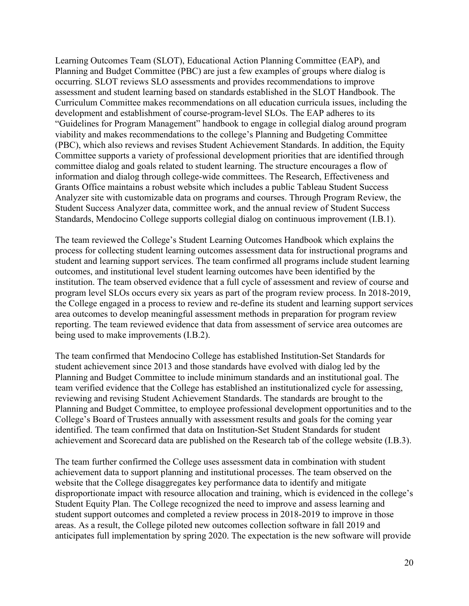Learning Outcomes Team (SLOT), Educational Action Planning Committee (EAP), and Planning and Budget Committee (PBC) are just a few examples of groups where dialog is occurring. SLOT reviews SLO assessments and provides recommendations to improve assessment and student learning based on standards established in the SLOT Handbook. The Curriculum Committee makes recommendations on all education curricula issues, including the development and establishment of course-program-level SLOs. The EAP adheres to its "Guidelines for Program Management" handbook to engage in collegial dialog around program viability and makes recommendations to the college's Planning and Budgeting Committee (PBC), which also reviews and revises Student Achievement Standards. In addition, the Equity Committee supports a variety of professional development priorities that are identified through committee dialog and goals related to student learning. The structure encourages a flow of information and dialog through college-wide committees. The Research, Effectiveness and Grants Office maintains a robust website which includes a public Tableau Student Success Analyzer site with customizable data on programs and courses. Through Program Review, the Student Success Analyzer data, committee work, and the annual review of Student Success Standards, Mendocino College supports collegial dialog on continuous improvement (I.B.1).

The team reviewed the College's Student Learning Outcomes Handbook which explains the process for collecting student learning outcomes assessment data for instructional programs and student and learning support services. The team confirmed all programs include student learning outcomes, and institutional level student learning outcomes have been identified by the institution. The team observed evidence that a full cycle of assessment and review of course and program level SLOs occurs every six years as part of the program review process. In 2018-2019, the College engaged in a process to review and re-define its student and learning support services area outcomes to develop meaningful assessment methods in preparation for program review reporting. The team reviewed evidence that data from assessment of service area outcomes are being used to make improvements (I.B.2).

The team confirmed that Mendocino College has established Institution-Set Standards for student achievement since 2013 and those standards have evolved with dialog led by the Planning and Budget Committee to include minimum standards and an institutional goal. The team verified evidence that the College has established an institutionalized cycle for assessing, reviewing and revising Student Achievement Standards. The standards are brought to the Planning and Budget Committee, to employee professional development opportunities and to the College's Board of Trustees annually with assessment results and goals for the coming year identified. The team confirmed that data on Institution-Set Student Standards for student achievement and Scorecard data are published on the Research tab of the college website (I.B.3).

The team further confirmed the College uses assessment data in combination with student achievement data to support planning and institutional processes. The team observed on the website that the College disaggregates key performance data to identify and mitigate disproportionate impact with resource allocation and training, which is evidenced in the college's Student Equity Plan. The College recognized the need to improve and assess learning and student support outcomes and completed a review process in 2018-2019 to improve in those areas. As a result, the College piloted new outcomes collection software in fall 2019 and anticipates full implementation by spring 2020. The expectation is the new software will provide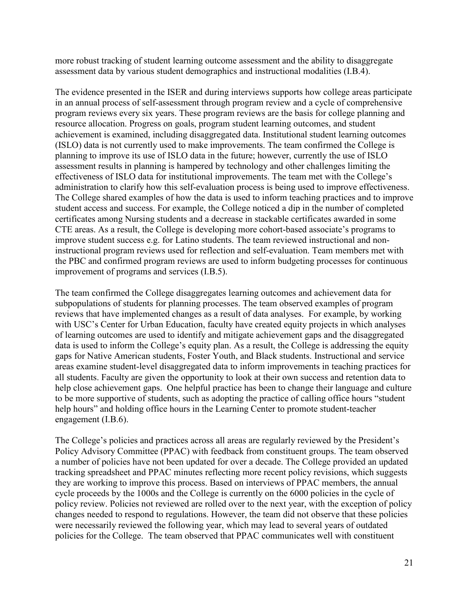more robust tracking of student learning outcome assessment and the ability to disaggregate assessment data by various student demographics and instructional modalities (I.B.4).

The evidence presented in the ISER and during interviews supports how college areas participate in an annual process of self-assessment through program review and a cycle of comprehensive program reviews every six years. These program reviews are the basis for college planning and resource allocation. Progress on goals, program student learning outcomes, and student achievement is examined, including disaggregated data. Institutional student learning outcomes (ISLO) data is not currently used to make improvements. The team confirmed the College is planning to improve its use of ISLO data in the future; however, currently the use of ISLO assessment results in planning is hampered by technology and other challenges limiting the effectiveness of ISLO data for institutional improvements. The team met with the College's administration to clarify how this self-evaluation process is being used to improve effectiveness. The College shared examples of how the data is used to inform teaching practices and to improve student access and success. For example, the College noticed a dip in the number of completed certificates among Nursing students and a decrease in stackable certificates awarded in some CTE areas. As a result, the College is developing more cohort-based associate's programs to improve student success e.g. for Latino students. The team reviewed instructional and noninstructional program reviews used for reflection and self-evaluation. Team members met with the PBC and confirmed program reviews are used to inform budgeting processes for continuous improvement of programs and services (I.B.5).

The team confirmed the College disaggregates learning outcomes and achievement data for subpopulations of students for planning processes. The team observed examples of program reviews that have implemented changes as a result of data analyses. For example, by working with USC's Center for Urban Education, faculty have created equity projects in which analyses of learning outcomes are used to identify and mitigate achievement gaps and the disaggregated data is used to inform the College's equity plan. As a result, the College is addressing the equity gaps for Native American students, Foster Youth, and Black students. Instructional and service areas examine student-level disaggregated data to inform improvements in teaching practices for all students. Faculty are given the opportunity to look at their own success and retention data to help close achievement gaps. One helpful practice has been to change their language and culture to be more supportive of students, such as adopting the practice of calling office hours "student help hours" and holding office hours in the Learning Center to promote student-teacher engagement (I.B.6).

The College's policies and practices across all areas are regularly reviewed by the President's Policy Advisory Committee (PPAC) with feedback from constituent groups. The team observed a number of policies have not been updated for over a decade. The College provided an updated tracking spreadsheet and PPAC minutes reflecting more recent policy revisions, which suggests they are working to improve this process. Based on interviews of PPAC members, the annual cycle proceeds by the 1000s and the College is currently on the 6000 policies in the cycle of policy review. Policies not reviewed are rolled over to the next year, with the exception of policy changes needed to respond to regulations. However, the team did not observe that these policies were necessarily reviewed the following year, which may lead to several years of outdated policies for the College. The team observed that PPAC communicates well with constituent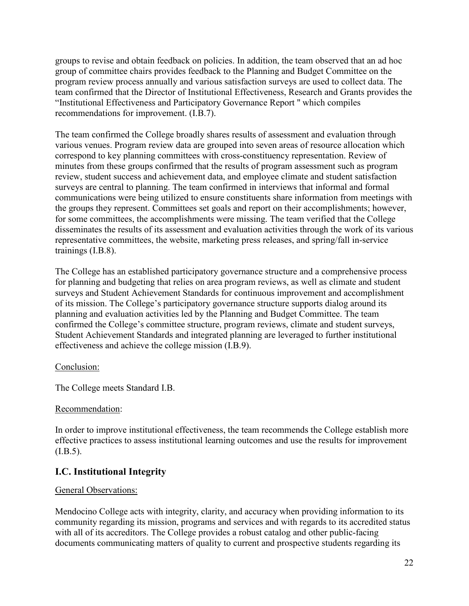groups to revise and obtain feedback on policies. In addition, the team observed that an ad hoc group of committee chairs provides feedback to the Planning and Budget Committee on the program review process annually and various satisfaction surveys are used to collect data. The team confirmed that the Director of Institutional Effectiveness, Research and Grants provides the "Institutional Effectiveness and Participatory Governance Report '' which compiles recommendations for improvement. (I.B.7).

The team confirmed the College broadly shares results of assessment and evaluation through various venues. Program review data are grouped into seven areas of resource allocation which correspond to key planning committees with cross-constituency representation. Review of minutes from these groups confirmed that the results of program assessment such as program review, student success and achievement data, and employee climate and student satisfaction surveys are central to planning. The team confirmed in interviews that informal and formal communications were being utilized to ensure constituents share information from meetings with the groups they represent. Committees set goals and report on their accomplishments; however, for some committees, the accomplishments were missing. The team verified that the College disseminates the results of its assessment and evaluation activities through the work of its various representative committees, the website, marketing press releases, and spring/fall in-service trainings (I.B.8).

The College has an established participatory governance structure and a comprehensive process for planning and budgeting that relies on area program reviews, as well as climate and student surveys and Student Achievement Standards for continuous improvement and accomplishment of its mission. The College's participatory governance structure supports dialog around its planning and evaluation activities led by the Planning and Budget Committee. The team confirmed the College's committee structure, program reviews, climate and student surveys, Student Achievement Standards and integrated planning are leveraged to further institutional effectiveness and achieve the college mission (I.B.9).

#### Conclusion:

The College meets Standard I.B.

#### Recommendation:

In order to improve institutional effectiveness, the team recommends the College establish more effective practices to assess institutional learning outcomes and use the results for improvement  $(I.B.5).$ 

### <span id="page-21-0"></span>**I.C. Institutional Integrity**

#### General Observations:

Mendocino College acts with integrity, clarity, and accuracy when providing information to its community regarding its mission, programs and services and with regards to its accredited status with all of its accreditors. The College provides a robust catalog and other public-facing documents communicating matters of quality to current and prospective students regarding its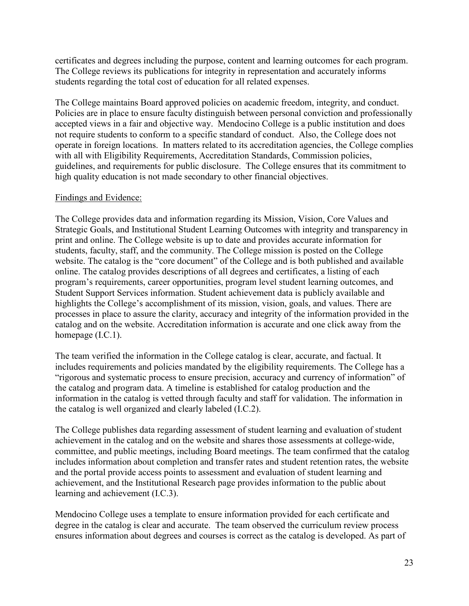certificates and degrees including the purpose, content and learning outcomes for each program. The College reviews its publications for integrity in representation and accurately informs students regarding the total cost of education for all related expenses.

The College maintains Board approved policies on academic freedom, integrity, and conduct. Policies are in place to ensure faculty distinguish between personal conviction and professionally accepted views in a fair and objective way. Mendocino College is a public institution and does not require students to conform to a specific standard of conduct. Also, the College does not operate in foreign locations. In matters related to its accreditation agencies, the College complies with all with Eligibility Requirements, Accreditation Standards, Commission policies, guidelines, and requirements for public disclosure. The College ensures that its commitment to high quality education is not made secondary to other financial objectives.

#### Findings and Evidence:

The College provides data and information regarding its Mission, Vision, Core Values and Strategic Goals, and Institutional Student Learning Outcomes with integrity and transparency in print and online. The College website is up to date and provides accurate information for students, faculty, staff, and the community. The College mission is posted on the College website. The catalog is the "core document" of the College and is both published and available online. The catalog provides descriptions of all degrees and certificates, a listing of each program's requirements, career opportunities, program level student learning outcomes, and Student Support Services information. Student achievement data is publicly available and highlights the College's accomplishment of its mission, vision, goals, and values. There are processes in place to assure the clarity, accuracy and integrity of the information provided in the catalog and on the website. Accreditation information is accurate and one click away from the homepage (I.C.1).

The team verified the information in the College catalog is clear, accurate, and factual. It includes requirements and policies mandated by the eligibility requirements. The College has a "rigorous and systematic process to ensure precision, accuracy and currency of information" of the catalog and program data. A timeline is established for catalog production and the information in the catalog is vetted through faculty and staff for validation. The information in the catalog is well organized and clearly labeled (I.C.2).

The College publishes data regarding assessment of student learning and evaluation of student achievement in the catalog and on the website and shares those assessments at college-wide, committee, and public meetings, including Board meetings. The team confirmed that the catalog includes information about completion and transfer rates and student retention rates, the website and the portal provide access points to assessment and evaluation of student learning and achievement, and the Institutional Research page provides information to the public about learning and achievement (I.C.3).

Mendocino College uses a template to ensure information provided for each certificate and degree in the catalog is clear and accurate. The team observed the curriculum review process ensures information about degrees and courses is correct as the catalog is developed. As part of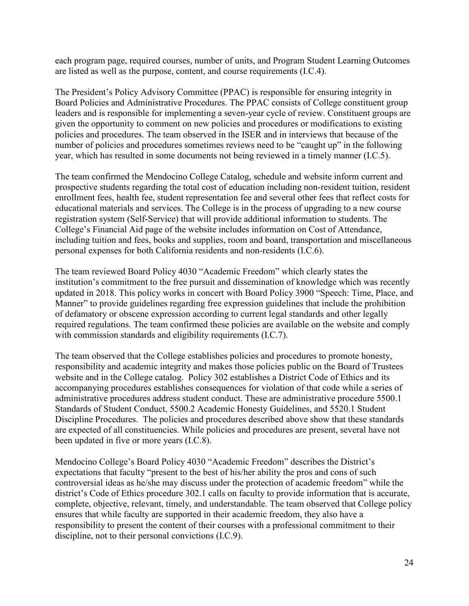each program page, required courses, number of units, and Program Student Learning Outcomes are listed as well as the purpose, content, and course requirements (I.C.4).

The President's Policy Advisory Committee (PPAC) is responsible for ensuring integrity in Board Policies and Administrative Procedures. The PPAC consists of College constituent group leaders and is responsible for implementing a seven-year cycle of review. Constituent groups are given the opportunity to comment on new policies and procedures or modifications to existing policies and procedures. The team observed in the ISER and in interviews that because of the number of policies and procedures sometimes reviews need to be "caught up" in the following year, which has resulted in some documents not being reviewed in a timely manner (I.C.5).

The team confirmed the Mendocino College Catalog, schedule and website inform current and prospective students regarding the total cost of education including non-resident tuition, resident enrollment fees, health fee, student representation fee and several other fees that reflect costs for educational materials and services. The College is in the process of upgrading to a new course registration system (Self-Service) that will provide additional information to students. The College's Financial Aid page of the website includes information on Cost of Attendance, including tuition and fees, books and supplies, room and board, transportation and miscellaneous personal expenses for both California residents and non-residents (I.C.6).

The team reviewed Board Policy 4030 "Academic Freedom" which clearly states the institution's commitment to the free pursuit and dissemination of knowledge which was recently updated in 2018. This policy works in concert with Board Policy 3900 "Speech: Time, Place, and Manner" to provide guidelines regarding free expression guidelines that include the prohibition of defamatory or obscene expression according to current legal standards and other legally required regulations. The team confirmed these policies are available on the website and comply with commission standards and eligibility requirements (I.C.7).

The team observed that the College establishes policies and procedures to promote honesty, responsibility and academic integrity and makes those policies public on the Board of Trustees website and in the College catalog. Policy 302 establishes a District Code of Ethics and its accompanying procedures establishes consequences for violation of that code while a series of administrative procedures address student conduct. These are administrative procedure 5500.1 Standards of Student Conduct, 5500.2 Academic Honesty Guidelines, and 5520.1 Student Discipline Procedures. The policies and procedures described above show that these standards are expected of all constituencies. While policies and procedures are present, several have not been updated in five or more years (I.C.8).

Mendocino College's Board Policy 4030 "Academic Freedom" describes the District's expectations that faculty "present to the best of his/her ability the pros and cons of such controversial ideas as he/she may discuss under the protection of academic freedom" while the district's Code of Ethics procedure 302.1 calls on faculty to provide information that is accurate, complete, objective, relevant, timely, and understandable. The team observed that College policy ensures that while faculty are supported in their academic freedom, they also have a responsibility to present the content of their courses with a professional commitment to their discipline, not to their personal convictions (I.C.9).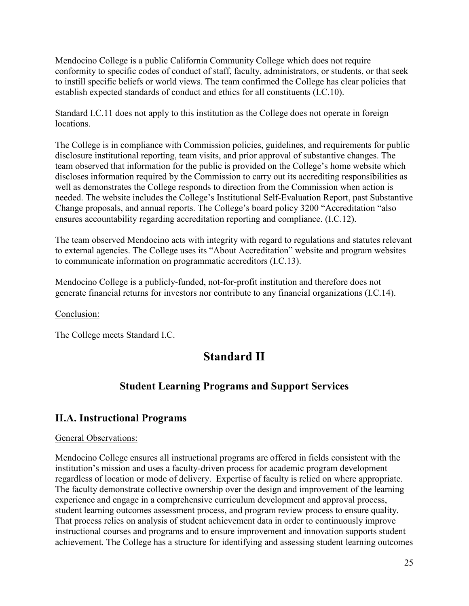Mendocino College is a public California Community College which does not require conformity to specific codes of conduct of staff, faculty, administrators, or students, or that seek to instill specific beliefs or world views. The team confirmed the College has clear policies that establish expected standards of conduct and ethics for all constituents (I.C.10).

Standard I.C.11 does not apply to this institution as the College does not operate in foreign locations.

The College is in compliance with Commission policies, guidelines, and requirements for public disclosure institutional reporting, team visits, and prior approval of substantive changes. The team observed that information for the public is provided on the College's home website which discloses information required by the Commission to carry out its accrediting responsibilities as well as demonstrates the College responds to direction from the Commission when action is needed. The website includes the College's Institutional Self-Evaluation Report, past Substantive Change proposals, and annual reports. The College's board policy 3200 "Accreditation "also ensures accountability regarding accreditation reporting and compliance. (I.C.12).

The team observed Mendocino acts with integrity with regard to regulations and statutes relevant to external agencies. The College uses its "About Accreditation" website and program websites to communicate information on programmatic accreditors (I.C.13).

Mendocino College is a publicly-funded, not-for-profit institution and therefore does not generate financial returns for investors nor contribute to any financial organizations (I.C.14).

Conclusion:

<span id="page-24-0"></span>The College meets Standard I.C.

# **Standard II**

## **Student Learning Programs and Support Services**

## <span id="page-24-1"></span>**II.A. Instructional Programs**

#### General Observations:

Mendocino College ensures all instructional programs are offered in fields consistent with the institution's mission and uses a faculty-driven process for academic program development regardless of location or mode of delivery. Expertise of faculty is relied on where appropriate. The faculty demonstrate collective ownership over the design and improvement of the learning experience and engage in a comprehensive curriculum development and approval process, student learning outcomes assessment process, and program review process to ensure quality. That process relies on analysis of student achievement data in order to continuously improve instructional courses and programs and to ensure improvement and innovation supports student achievement. The College has a structure for identifying and assessing student learning outcomes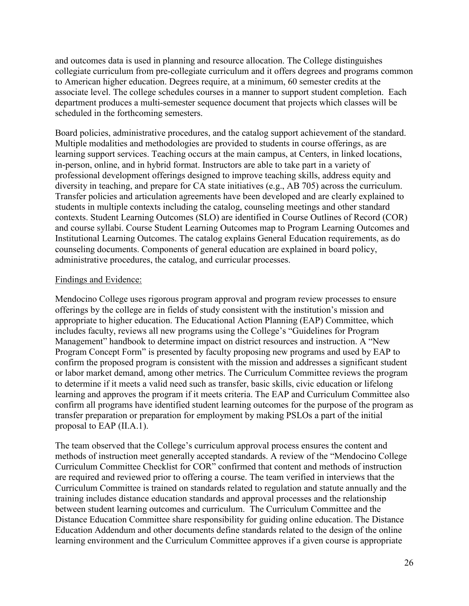and outcomes data is used in planning and resource allocation. The College distinguishes collegiate curriculum from pre-collegiate curriculum and it offers degrees and programs common to American higher education. Degrees require, at a minimum, 60 semester credits at the associate level. The college schedules courses in a manner to support student completion. Each department produces a multi-semester sequence document that projects which classes will be scheduled in the forthcoming semesters.

Board policies, administrative procedures, and the catalog support achievement of the standard. Multiple modalities and methodologies are provided to students in course offerings, as are learning support services. Teaching occurs at the main campus, at Centers, in linked locations, in-person, online, and in hybrid format. Instructors are able to take part in a variety of professional development offerings designed to improve teaching skills, address equity and diversity in teaching, and prepare for CA state initiatives (e.g., AB 705) across the curriculum. Transfer policies and articulation agreements have been developed and are clearly explained to students in multiple contexts including the catalog, counseling meetings and other standard contexts. Student Learning Outcomes (SLO) are identified in Course Outlines of Record (COR) and course syllabi. Course Student Learning Outcomes map to Program Learning Outcomes and Institutional Learning Outcomes. The catalog explains General Education requirements, as do counseling documents. Components of general education are explained in board policy, administrative procedures, the catalog, and curricular processes.

#### Findings and Evidence:

Mendocino College uses rigorous program approval and program review processes to ensure offerings by the college are in fields of study consistent with the institution's mission and appropriate to higher education. The Educational Action Planning (EAP) Committee, which includes faculty, reviews all new programs using the College's "Guidelines for Program Management" handbook to determine impact on district resources and instruction. A "New Program Concept Form" is presented by faculty proposing new programs and used by EAP to confirm the proposed program is consistent with the mission and addresses a significant student or labor market demand, among other metrics. The Curriculum Committee reviews the program to determine if it meets a valid need such as transfer, basic skills, civic education or lifelong learning and approves the program if it meets criteria. The EAP and Curriculum Committee also confirm all programs have identified student learning outcomes for the purpose of the program as transfer preparation or preparation for employment by making PSLOs a part of the initial proposal to EAP (II.A.1).

The team observed that the College's curriculum approval process ensures the content and methods of instruction meet generally accepted standards. A review of the "Mendocino College Curriculum Committee Checklist for COR" confirmed that content and methods of instruction are required and reviewed prior to offering a course. The team verified in interviews that the Curriculum Committee is trained on standards related to regulation and statute annually and the training includes distance education standards and approval processes and the relationship between student learning outcomes and curriculum. The Curriculum Committee and the Distance Education Committee share responsibility for guiding online education. The Distance Education Addendum and other documents define standards related to the design of the online learning environment and the Curriculum Committee approves if a given course is appropriate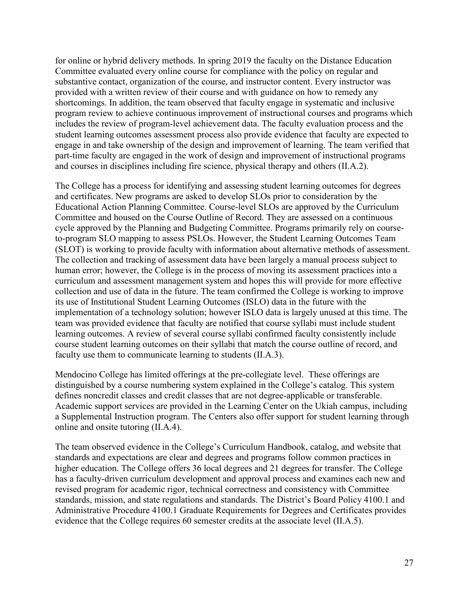for online or hybrid delivery methods. In spring 2019 the faculty on the Distance Education Committee evaluated every online course for compliance with the policy on regular and substantive contact, organization of the course, and instructor content. Every instructor was provided with a written review of their course and with guidance on how to remedy any shortcomings. In addition, the team observed that faculty engage in systematic and inclusive program review to achieve continuous improvement of instructional courses and programs which includes the review of program-level achievement data. The faculty evaluation process and the student learning outcomes assessment process also provide evidence that faculty are expected to engage in and take ownership of the design and improvement of learning. The team verified that part-time faculty are engaged in the work of design and improvement of instructional programs and courses in disciplines including fire science, physical therapy and others (II.A.2).

The College has a process for identifying and assessing student learning outcomes for degrees and certificates. New programs are asked to develop SLOs prior to consideration by the Educational Action Planning Committee. Course-level SLOs are approved by the Curriculum Committee and housed on the Course Outline of Record. They are assessed on a continuous cycle approved by the Planning and Budgeting Committee. Programs primarily rely on courseto-program SLO mapping to assess PSLOs. However, the Student Learning Outcomes Team (SLOT) is working to provide faculty with information about alternative methods of assessment. The collection and tracking of assessment data have been largely a manual process subject to human error; however, the College is in the process of moving its assessment practices into a curriculum and assessment management system and hopes this will provide for more effective collection and use of data in the future. The team confirmed the College is working to improve its use of Institutional Student Learning Outcomes (ISLO) data in the future with the implementation of a technology solution; however ISLO data is largely unused at this time. The team was provided evidence that faculty are notified that course syllabi must include student learning outcomes. A review of several course syllabi confirmed faculty consistently include course student learning outcomes on their syllabi that match the course outline of record, and faculty use them to communicate learning to students (II.A.3).

Mendocino College has limited offerings at the pre-collegiate level. These offerings are distinguished by a course numbering system explained in the College's catalog. This system defines noncredit classes and credit classes that are not degree-applicable or transferable. Academic support services are provided in the Learning Center on the Ukiah campus, including a Supplemental Instruction program. The Centers also offer support for student learning through online and onsite tutoring (II.A.4).

The team observed evidence in the College's Curriculum Handbook, catalog, and website that standards and expectations are clear and degrees and programs follow common practices in higher education. The College offers 36 local degrees and 21 degrees for transfer. The College has a faculty-driven curriculum development and approval process and examines each new and revised program for academic rigor, technical correctness and consistency with Committee standards, mission, and state regulations and standards. The District's Board Policy 4100.1 and Administrative Procedure 4100.1 Graduate Requirements for Degrees and Certificates provides evidence that the College requires 60 semester credits at the associate level (II.A.5).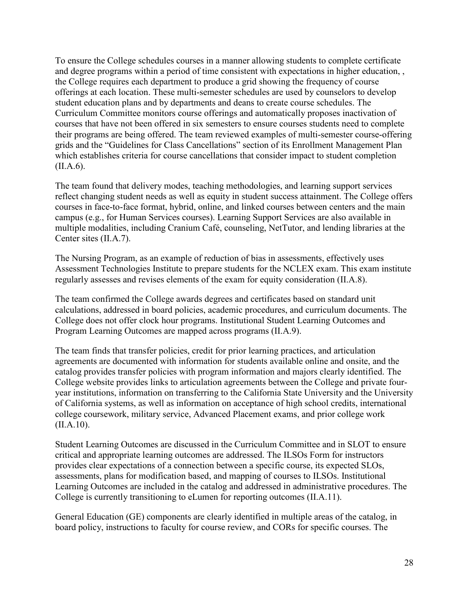To ensure the College schedules courses in a manner allowing students to complete certificate and degree programs within a period of time consistent with expectations in higher education, , the College requires each department to produce a grid showing the frequency of course offerings at each location. These multi-semester schedules are used by counselors to develop student education plans and by departments and deans to create course schedules. The Curriculum Committee monitors course offerings and automatically proposes inactivation of courses that have not been offered in six semesters to ensure courses students need to complete their programs are being offered. The team reviewed examples of multi-semester course-offering grids and the "Guidelines for Class Cancellations" section of its Enrollment Management Plan which establishes criteria for course cancellations that consider impact to student completion (II.A.6).

The team found that delivery modes, teaching methodologies, and learning support services reflect changing student needs as well as equity in student success attainment. The College offers courses in face-to-face format, hybrid, online, and linked courses between centers and the main campus (e.g., for Human Services courses). Learning Support Services are also available in multiple modalities, including Cranium Café, counseling, NetTutor, and lending libraries at the Center sites (II.A.7).

The Nursing Program, as an example of reduction of bias in assessments, effectively uses Assessment Technologies Institute to prepare students for the NCLEX exam. This exam institute regularly assesses and revises elements of the exam for equity consideration (II.A.8).

The team confirmed the College awards degrees and certificates based on standard unit calculations, addressed in board policies, academic procedures, and curriculum documents. The College does not offer clock hour programs. Institutional Student Learning Outcomes and Program Learning Outcomes are mapped across programs (II.A.9).

The team finds that transfer policies, credit for prior learning practices, and articulation agreements are documented with information for students available online and onsite, and the catalog provides transfer policies with program information and majors clearly identified. The College website provides links to articulation agreements between the College and private fouryear institutions, information on transferring to the California State University and the University of California systems, as well as information on acceptance of high school credits, international college coursework, military service, Advanced Placement exams, and prior college work (II.A.10).

Student Learning Outcomes are discussed in the Curriculum Committee and in SLOT to ensure critical and appropriate learning outcomes are addressed. The ILSOs Form for instructors provides clear expectations of a connection between a specific course, its expected SLOs, assessments, plans for modification based, and mapping of courses to ILSOs. Institutional Learning Outcomes are included in the catalog and addressed in administrative procedures. The College is currently transitioning to eLumen for reporting outcomes (II.A.11).

General Education (GE) components are clearly identified in multiple areas of the catalog, in board policy, instructions to faculty for course review, and CORs for specific courses. The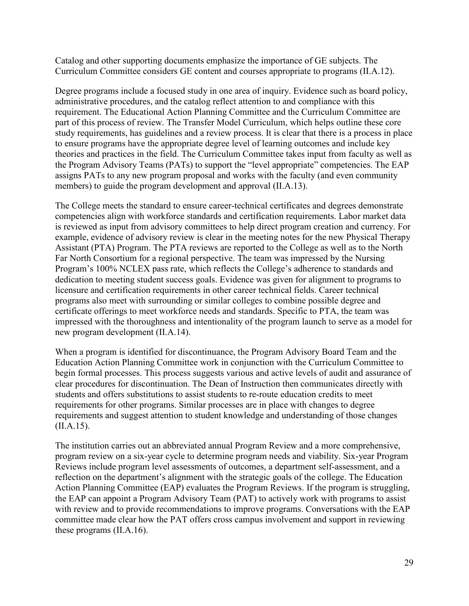Catalog and other supporting documents emphasize the importance of GE subjects. The Curriculum Committee considers GE content and courses appropriate to programs (II.A.12).

Degree programs include a focused study in one area of inquiry. Evidence such as board policy, administrative procedures, and the catalog reflect attention to and compliance with this requirement. The Educational Action Planning Committee and the Curriculum Committee are part of this process of review. The Transfer Model Curriculum, which helps outline these core study requirements, has guidelines and a review process. It is clear that there is a process in place to ensure programs have the appropriate degree level of learning outcomes and include key theories and practices in the field. The Curriculum Committee takes input from faculty as well as the Program Advisory Teams (PATs) to support the "level appropriate" competencies. The EAP assigns PATs to any new program proposal and works with the faculty (and even community members) to guide the program development and approval (II.A.13).

The College meets the standard to ensure career-technical certificates and degrees demonstrate competencies align with workforce standards and certification requirements. Labor market data is reviewed as input from advisory committees to help direct program creation and currency. For example, evidence of advisory review is clear in the meeting notes for the new Physical Therapy Assistant (PTA) Program. The PTA reviews are reported to the College as well as to the North Far North Consortium for a regional perspective. The team was impressed by the Nursing Program's 100% NCLEX pass rate, which reflects the College's adherence to standards and dedication to meeting student success goals. Evidence was given for alignment to programs to licensure and certification requirements in other career technical fields. Career technical programs also meet with surrounding or similar colleges to combine possible degree and certificate offerings to meet workforce needs and standards. Specific to PTA, the team was impressed with the thoroughness and intentionality of the program launch to serve as a model for new program development (II.A.14).

When a program is identified for discontinuance, the Program Advisory Board Team and the Education Action Planning Committee work in conjunction with the Curriculum Committee to begin formal processes. This process suggests various and active levels of audit and assurance of clear procedures for discontinuation. The Dean of Instruction then communicates directly with students and offers substitutions to assist students to re-route education credits to meet requirements for other programs. Similar processes are in place with changes to degree requirements and suggest attention to student knowledge and understanding of those changes (II.A.15).

The institution carries out an abbreviated annual Program Review and a more comprehensive, program review on a six-year cycle to determine program needs and viability. Six-year Program Reviews include program level assessments of outcomes, a department self-assessment, and a reflection on the department's alignment with the strategic goals of the college. The Education Action Planning Committee (EAP) evaluates the Program Reviews. If the program is struggling, the EAP can appoint a Program Advisory Team (PAT) to actively work with programs to assist with review and to provide recommendations to improve programs. Conversations with the EAP committee made clear how the PAT offers cross campus involvement and support in reviewing these programs (II.A.16).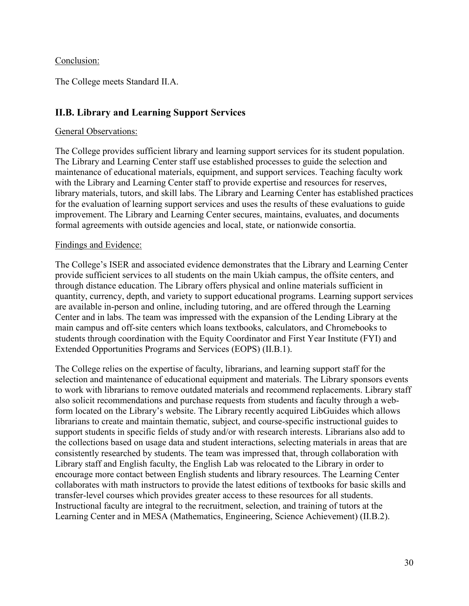#### Conclusion:

The College meets Standard II.A.

### <span id="page-29-0"></span>**II.B. Library and Learning Support Services**

#### General Observations:

The College provides sufficient library and learning support services for its student population. The Library and Learning Center staff use established processes to guide the selection and maintenance of educational materials, equipment, and support services. Teaching faculty work with the Library and Learning Center staff to provide expertise and resources for reserves, library materials, tutors, and skill labs. The Library and Learning Center has established practices for the evaluation of learning support services and uses the results of these evaluations to guide improvement. The Library and Learning Center secures, maintains, evaluates, and documents formal agreements with outside agencies and local, state, or nationwide consortia.

#### Findings and Evidence:

The College's ISER and associated evidence demonstrates that the Library and Learning Center provide sufficient services to all students on the main Ukiah campus, the offsite centers, and through distance education. The Library offers physical and online materials sufficient in quantity, currency, depth, and variety to support educational programs. Learning support services are available in-person and online, including tutoring, and are offered through the Learning Center and in labs. The team was impressed with the expansion of the Lending Library at the main campus and off-site centers which loans textbooks, calculators, and Chromebooks to students through coordination with the Equity Coordinator and First Year Institute (FYI) and Extended Opportunities Programs and Services (EOPS) (II.B.1).

The College relies on the expertise of faculty, librarians, and learning support staff for the selection and maintenance of educational equipment and materials. The Library sponsors events to work with librarians to remove outdated materials and recommend replacements. Library staff also solicit recommendations and purchase requests from students and faculty through a webform located on the Library's website. The Library recently acquired LibGuides which allows librarians to create and maintain thematic, subject, and course-specific instructional guides to support students in specific fields of study and/or with research interests. Librarians also add to the collections based on usage data and student interactions, selecting materials in areas that are consistently researched by students. The team was impressed that, through collaboration with Library staff and English faculty, the English Lab was relocated to the Library in order to encourage more contact between English students and library resources. The Learning Center collaborates with math instructors to provide the latest editions of textbooks for basic skills and transfer-level courses which provides greater access to these resources for all students. Instructional faculty are integral to the recruitment, selection, and training of tutors at the Learning Center and in MESA (Mathematics, Engineering, Science Achievement) (II.B.2).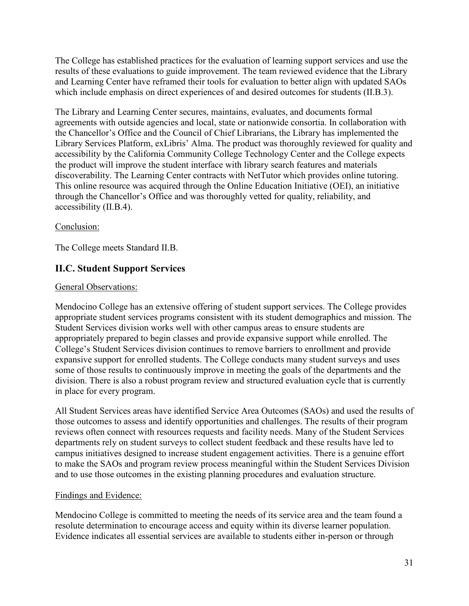The College has established practices for the evaluation of learning support services and use the results of these evaluations to guide improvement. The team reviewed evidence that the Library and Learning Center have reframed their tools for evaluation to better align with updated SAOs which include emphasis on direct experiences of and desired outcomes for students (II.B.3).

The Library and Learning Center secures, maintains, evaluates, and documents formal agreements with outside agencies and local, state or nationwide consortia. In collaboration with the Chancellor's Office and the Council of Chief Librarians, the Library has implemented the Library Services Platform, exLibris' Alma. The product was thoroughly reviewed for quality and accessibility by the California Community College Technology Center and the College expects the product will improve the student interface with library search features and materials discoverability. The Learning Center contracts with NetTutor which provides online tutoring. This online resource was acquired through the Online Education Initiative (OEI), an initiative through the Chancellor's Office and was thoroughly vetted for quality, reliability, and accessibility (II.B.4).

#### Conclusion:

The College meets Standard II.B.

## <span id="page-30-0"></span>**II.C. Student Support Services**

#### General Observations:

Mendocino College has an extensive offering of student support services. The College provides appropriate student services programs consistent with its student demographics and mission. The Student Services division works well with other campus areas to ensure students are appropriately prepared to begin classes and provide expansive support while enrolled. The College's Student Services division continues to remove barriers to enrollment and provide expansive support for enrolled students. The College conducts many student surveys and uses some of those results to continuously improve in meeting the goals of the departments and the division. There is also a robust program review and structured evaluation cycle that is currently in place for every program.

All Student Services areas have identified Service Area Outcomes (SAOs) and used the results of those outcomes to assess and identify opportunities and challenges. The results of their program reviews often connect with resources requests and facility needs. Many of the Student Services departments rely on student surveys to collect student feedback and these results have led to campus initiatives designed to increase student engagement activities. There is a genuine effort to make the SAOs and program review process meaningful within the Student Services Division and to use those outcomes in the existing planning procedures and evaluation structure.

#### Findings and Evidence:

Mendocino College is committed to meeting the needs of its service area and the team found a resolute determination to encourage access and equity within its diverse learner population. Evidence indicates all essential services are available to students either in-person or through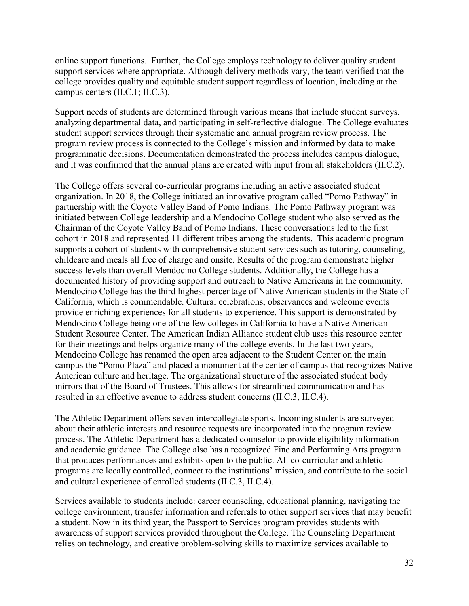online support functions. Further, the College employs technology to deliver quality student support services where appropriate. Although delivery methods vary, the team verified that the college provides quality and equitable student support regardless of location, including at the campus centers (II.C.1; II.C.3).

Support needs of students are determined through various means that include student surveys, analyzing departmental data, and participating in self-reflective dialogue. The College evaluates student support services through their systematic and annual program review process. The program review process is connected to the College's mission and informed by data to make programmatic decisions. Documentation demonstrated the process includes campus dialogue, and it was confirmed that the annual plans are created with input from all stakeholders (II.C.2).

The College offers several co-curricular programs including an active associated student organization. In 2018, the College initiated an innovative program called "Pomo Pathway" in partnership with the Coyote Valley Band of Pomo Indians. The Pomo Pathway program was initiated between College leadership and a Mendocino College student who also served as the Chairman of the Coyote Valley Band of Pomo Indians. These conversations led to the first cohort in 2018 and represented 11 different tribes among the students. This academic program supports a cohort of students with comprehensive student services such as tutoring, counseling, childcare and meals all free of charge and onsite. Results of the program demonstrate higher success levels than overall Mendocino College students. Additionally, the College has a documented history of providing support and outreach to Native Americans in the community. Mendocino College has the third highest percentage of Native American students in the State of California, which is commendable. Cultural celebrations, observances and welcome events provide enriching experiences for all students to experience. This support is demonstrated by Mendocino College being one of the few colleges in California to have a Native American Student Resource Center. The American Indian Alliance student club uses this resource center for their meetings and helps organize many of the college events. In the last two years, Mendocino College has renamed the open area adjacent to the Student Center on the main campus the "Pomo Plaza" and placed a monument at the center of campus that recognizes Native American culture and heritage. The organizational structure of the associated student body mirrors that of the Board of Trustees. This allows for streamlined communication and has resulted in an effective avenue to address student concerns (II.C.3, II.C.4).

The Athletic Department offers seven intercollegiate sports. Incoming students are surveyed about their athletic interests and resource requests are incorporated into the program review process. The Athletic Department has a dedicated counselor to provide eligibility information and academic guidance. The College also has a recognized Fine and Performing Arts program that produces performances and exhibits open to the public. All co-curricular and athletic programs are locally controlled, connect to the institutions' mission, and contribute to the social and cultural experience of enrolled students (II.C.3, II.C.4).

Services available to students include: career counseling, educational planning, navigating the college environment, transfer information and referrals to other support services that may benefit a student. Now in its third year, the Passport to Services program provides students with awareness of support services provided throughout the College. The Counseling Department relies on technology, and creative problem-solving skills to maximize services available to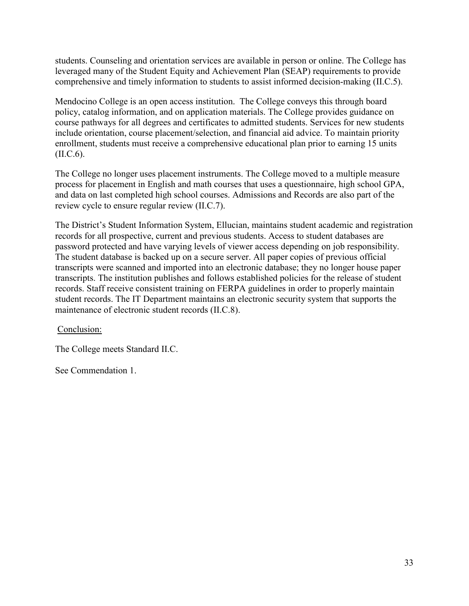students. Counseling and orientation services are available in person or online. The College has leveraged many of the Student Equity and Achievement Plan (SEAP) requirements to provide comprehensive and timely information to students to assist informed decision-making (II.C.5).

Mendocino College is an open access institution. The College conveys this through board policy, catalog information, and on application materials. The College provides guidance on course pathways for all degrees and certificates to admitted students. Services for new students include orientation, course placement/selection, and financial aid advice. To maintain priority enrollment, students must receive a comprehensive educational plan prior to earning 15 units (II.C.6).

The College no longer uses placement instruments. The College moved to a multiple measure process for placement in English and math courses that uses a questionnaire, high school GPA, and data on last completed high school courses. Admissions and Records are also part of the review cycle to ensure regular review (II.C.7).

The District's Student Information System, Ellucian, maintains student academic and registration records for all prospective, current and previous students. Access to student databases are password protected and have varying levels of viewer access depending on job responsibility. The student database is backed up on a secure server. All paper copies of previous official transcripts were scanned and imported into an electronic database; they no longer house paper transcripts. The institution publishes and follows established policies for the release of student records. Staff receive consistent training on FERPA guidelines in order to properly maintain student records. The IT Department maintains an electronic security system that supports the maintenance of electronic student records (II.C.8).

Conclusion:

The College meets Standard II.C.

See Commendation 1.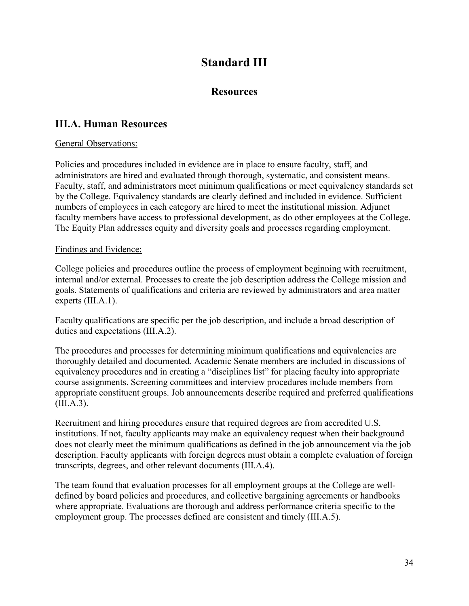# **Standard III**

## **Resources**

## <span id="page-33-1"></span><span id="page-33-0"></span>**III.A. Human Resources**

### General Observations:

Policies and procedures included in evidence are in place to ensure faculty, staff, and administrators are hired and evaluated through thorough, systematic, and consistent means. Faculty, staff, and administrators meet minimum qualifications or meet equivalency standards set by the College. Equivalency standards are clearly defined and included in evidence. Sufficient numbers of employees in each category are hired to meet the institutional mission. Adjunct faculty members have access to professional development, as do other employees at the College. The Equity Plan addresses equity and diversity goals and processes regarding employment.

### Findings and Evidence:

College policies and procedures outline the process of employment beginning with recruitment, internal and/or external. Processes to create the job description address the College mission and goals. Statements of qualifications and criteria are reviewed by administrators and area matter experts (III.A.1).

Faculty qualifications are specific per the job description, and include a broad description of duties and expectations (III.A.2).

The procedures and processes for determining minimum qualifications and equivalencies are thoroughly detailed and documented. Academic Senate members are included in discussions of equivalency procedures and in creating a "disciplines list" for placing faculty into appropriate course assignments. Screening committees and interview procedures include members from appropriate constituent groups. Job announcements describe required and preferred qualifications (III.A.3).

Recruitment and hiring procedures ensure that required degrees are from accredited U.S. institutions. If not, faculty applicants may make an equivalency request when their background does not clearly meet the minimum qualifications as defined in the job announcement via the job description. Faculty applicants with foreign degrees must obtain a complete evaluation of foreign transcripts, degrees, and other relevant documents (III.A.4).

The team found that evaluation processes for all employment groups at the College are welldefined by board policies and procedures, and collective bargaining agreements or handbooks where appropriate. Evaluations are thorough and address performance criteria specific to the employment group. The processes defined are consistent and timely (III.A.5).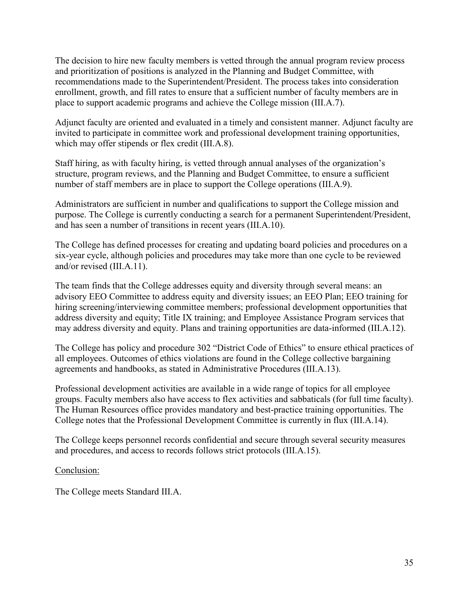The decision to hire new faculty members is vetted through the annual program review process and prioritization of positions is analyzed in the Planning and Budget Committee, with recommendations made to the Superintendent/President. The process takes into consideration enrollment, growth, and fill rates to ensure that a sufficient number of faculty members are in place to support academic programs and achieve the College mission (III.A.7).

Adjunct faculty are oriented and evaluated in a timely and consistent manner. Adjunct faculty are invited to participate in committee work and professional development training opportunities, which may offer stipends or flex credit *(III.A.8)*.

Staff hiring, as with faculty hiring, is vetted through annual analyses of the organization's structure, program reviews, and the Planning and Budget Committee, to ensure a sufficient number of staff members are in place to support the College operations (III.A.9).

Administrators are sufficient in number and qualifications to support the College mission and purpose. The College is currently conducting a search for a permanent Superintendent/President, and has seen a number of transitions in recent years (III.A.10).

The College has defined processes for creating and updating board policies and procedures on a six-year cycle, although policies and procedures may take more than one cycle to be reviewed and/or revised (III.A.11).

The team finds that the College addresses equity and diversity through several means: an advisory EEO Committee to address equity and diversity issues; an EEO Plan; EEO training for hiring screening/interviewing committee members; professional development opportunities that address diversity and equity; Title IX training; and Employee Assistance Program services that may address diversity and equity. Plans and training opportunities are data-informed (III.A.12).

The College has policy and procedure 302 "District Code of Ethics" to ensure ethical practices of all employees. Outcomes of ethics violations are found in the College collective bargaining agreements and handbooks, as stated in Administrative Procedures (III.A.13).

Professional development activities are available in a wide range of topics for all employee groups. Faculty members also have access to flex activities and sabbaticals (for full time faculty). The Human Resources office provides mandatory and best-practice training opportunities. The College notes that the Professional Development Committee is currently in flux (III.A.14).

The College keeps personnel records confidential and secure through several security measures and procedures, and access to records follows strict protocols (III.A.15).

#### Conclusion:

The College meets Standard III.A.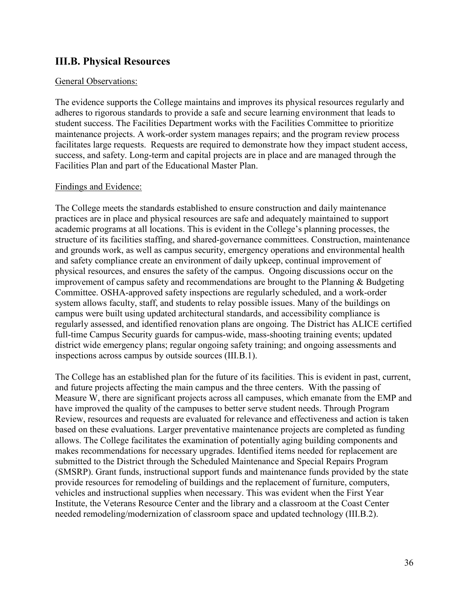## <span id="page-35-0"></span>**III.B. Physical Resources**

#### General Observations:

The evidence supports the College maintains and improves its physical resources regularly and adheres to rigorous standards to provide a safe and secure learning environment that leads to student success. The Facilities Department works with the Facilities Committee to prioritize maintenance projects. A work-order system manages repairs; and the program review process facilitates large requests. Requests are required to demonstrate how they impact student access, success, and safety. Long-term and capital projects are in place and are managed through the Facilities Plan and part of the Educational Master Plan.

#### Findings and Evidence:

The College meets the standards established to ensure construction and daily maintenance practices are in place and physical resources are safe and adequately maintained to support academic programs at all locations. This is evident in the College's planning processes, the structure of its facilities staffing, and shared-governance committees. Construction, maintenance and grounds work, as well as campus security, emergency operations and environmental health and safety compliance create an environment of daily upkeep, continual improvement of physical resources, and ensures the safety of the campus. Ongoing discussions occur on the improvement of campus safety and recommendations are brought to the Planning & Budgeting Committee. OSHA-approved safety inspections are regularly scheduled, and a work-order system allows faculty, staff, and students to relay possible issues. Many of the buildings on campus were built using updated architectural standards, and accessibility compliance is regularly assessed, and identified renovation plans are ongoing. The District has ALICE certified full-time Campus Security guards for campus-wide, mass-shooting training events; updated district wide emergency plans; regular ongoing safety training; and ongoing assessments and inspections across campus by outside sources (III.B.1).

The College has an established plan for the future of its facilities. This is evident in past, current, and future projects affecting the main campus and the three centers. With the passing of Measure W, there are significant projects across all campuses, which emanate from the EMP and have improved the quality of the campuses to better serve student needs. Through Program Review, resources and requests are evaluated for relevance and effectiveness and action is taken based on these evaluations. Larger preventative maintenance projects are completed as funding allows. The College facilitates the examination of potentially aging building components and makes recommendations for necessary upgrades. Identified items needed for replacement are submitted to the District through the Scheduled Maintenance and Special Repairs Program (SMSRP). Grant funds, instructional support funds and maintenance funds provided by the state provide resources for remodeling of buildings and the replacement of furniture, computers, vehicles and instructional supplies when necessary. This was evident when the First Year Institute, the Veterans Resource Center and the library and a classroom at the Coast Center needed remodeling/modernization of classroom space and updated technology (III.B.2).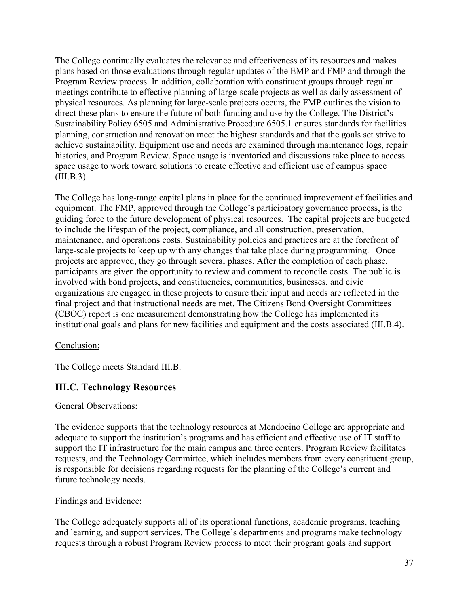The College continually evaluates the relevance and effectiveness of its resources and makes plans based on those evaluations through regular updates of the EMP and FMP and through the Program Review process. In addition, collaboration with constituent groups through regular meetings contribute to effective planning of large-scale projects as well as daily assessment of physical resources. As planning for large-scale projects occurs, the FMP outlines the vision to direct these plans to ensure the future of both funding and use by the College. The District's Sustainability Policy 6505 and Administrative Procedure 6505.1 ensures standards for facilities planning, construction and renovation meet the highest standards and that the goals set strive to achieve sustainability. Equipment use and needs are examined through maintenance logs, repair histories, and Program Review. Space usage is inventoried and discussions take place to access space usage to work toward solutions to create effective and efficient use of campus space (III.B.3).

The College has long-range capital plans in place for the continued improvement of facilities and equipment. The FMP, approved through the College's participatory governance process, is the guiding force to the future development of physical resources. The capital projects are budgeted to include the lifespan of the project, compliance, and all construction, preservation, maintenance, and operations costs. Sustainability policies and practices are at the forefront of large-scale projects to keep up with any changes that take place during programming. Once projects are approved, they go through several phases. After the completion of each phase, participants are given the opportunity to review and comment to reconcile costs. The public is involved with bond projects, and constituencies, communities, businesses, and civic organizations are engaged in these projects to ensure their input and needs are reflected in the final project and that instructional needs are met. The Citizens Bond Oversight Committees (CBOC) report is one measurement demonstrating how the College has implemented its institutional goals and plans for new facilities and equipment and the costs associated (III.B.4).

#### Conclusion:

The College meets Standard III.B.

### <span id="page-36-0"></span>**III.C. Technology Resources**

#### General Observations:

The evidence supports that the technology resources at Mendocino College are appropriate and adequate to support the institution's programs and has efficient and effective use of IT staff to support the IT infrastructure for the main campus and three centers. Program Review facilitates requests, and the Technology Committee, which includes members from every constituent group, is responsible for decisions regarding requests for the planning of the College's current and future technology needs.

#### Findings and Evidence:

The College adequately supports all of its operational functions, academic programs, teaching and learning, and support services. The College's departments and programs make technology requests through a robust Program Review process to meet their program goals and support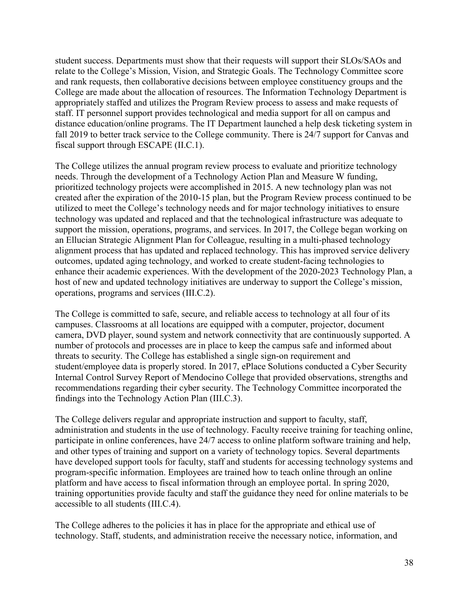student success. Departments must show that their requests will support their SLOs/SAOs and relate to the College's Mission, Vision, and Strategic Goals. The Technology Committee score and rank requests, then collaborative decisions between employee constituency groups and the College are made about the allocation of resources. The Information Technology Department is appropriately staffed and utilizes the Program Review process to assess and make requests of staff. IT personnel support provides technological and media support for all on campus and distance education/online programs. The IT Department launched a help desk ticketing system in fall 2019 to better track service to the College community. There is 24/7 support for Canvas and fiscal support through ESCAPE (II.C.1).

The College utilizes the annual program review process to evaluate and prioritize technology needs. Through the development of a Technology Action Plan and Measure W funding, prioritized technology projects were accomplished in 2015. A new technology plan was not created after the expiration of the 2010-15 plan, but the Program Review process continued to be utilized to meet the College's technology needs and for major technology initiatives to ensure technology was updated and replaced and that the technological infrastructure was adequate to support the mission, operations, programs, and services. In 2017, the College began working on an Ellucian Strategic Alignment Plan for Colleague, resulting in a multi-phased technology alignment process that has updated and replaced technology. This has improved service delivery outcomes, updated aging technology, and worked to create student-facing technologies to enhance their academic experiences. With the development of the 2020-2023 Technology Plan, a host of new and updated technology initiatives are underway to support the College's mission, operations, programs and services (III.C.2).

The College is committed to safe, secure, and reliable access to technology at all four of its campuses. Classrooms at all locations are equipped with a computer, projector, document camera, DVD player, sound system and network connectivity that are continuously supported. A number of protocols and processes are in place to keep the campus safe and informed about threats to security. The College has established a single sign-on requirement and student/employee data is properly stored. In 2017, ePlace Solutions conducted a Cyber Security Internal Control Survey Report of Mendocino College that provided observations, strengths and recommendations regarding their cyber security. The Technology Committee incorporated the findings into the Technology Action Plan (III.C.3).

The College delivers regular and appropriate instruction and support to faculty, staff, administration and students in the use of technology. Faculty receive training for teaching online, participate in online conferences, have 24/7 access to online platform software training and help, and other types of training and support on a variety of technology topics. Several departments have developed support tools for faculty, staff and students for accessing technology systems and program-specific information. Employees are trained how to teach online through an online platform and have access to fiscal information through an employee portal. In spring 2020, training opportunities provide faculty and staff the guidance they need for online materials to be accessible to all students (III.C.4).

The College adheres to the policies it has in place for the appropriate and ethical use of technology. Staff, students, and administration receive the necessary notice, information, and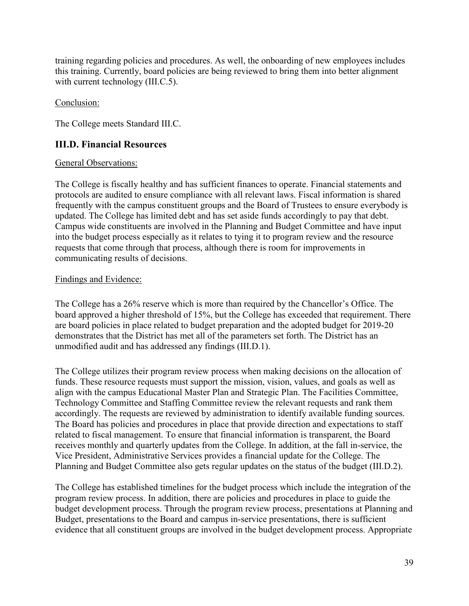training regarding policies and procedures. As well, the onboarding of new employees includes this training. Currently, board policies are being reviewed to bring them into better alignment with current technology *(III.C.5)*.

#### Conclusion:

The College meets Standard III.C.

### <span id="page-38-0"></span>**III.D. Financial Resources**

#### General Observations:

The College is fiscally healthy and has sufficient finances to operate. Financial statements and protocols are audited to ensure compliance with all relevant laws. Fiscal information is shared frequently with the campus constituent groups and the Board of Trustees to ensure everybody is updated. The College has limited debt and has set aside funds accordingly to pay that debt. Campus wide constituents are involved in the Planning and Budget Committee and have input into the budget process especially as it relates to tying it to program review and the resource requests that come through that process, although there is room for improvements in communicating results of decisions.

#### Findings and Evidence:

The College has a 26% reserve which is more than required by the Chancellor's Office. The board approved a higher threshold of 15%, but the College has exceeded that requirement. There are board policies in place related to budget preparation and the adopted budget for 2019-20 demonstrates that the District has met all of the parameters set forth. The District has an unmodified audit and has addressed any findings (III.D.1).

The College utilizes their program review process when making decisions on the allocation of funds. These resource requests must support the mission, vision, values, and goals as well as align with the campus Educational Master Plan and Strategic Plan. The Facilities Committee, Technology Committee and Staffing Committee review the relevant requests and rank them accordingly. The requests are reviewed by administration to identify available funding sources. The Board has policies and procedures in place that provide direction and expectations to staff related to fiscal management. To ensure that financial information is transparent, the Board receives monthly and quarterly updates from the College. In addition, at the fall in-service, the Vice President, Administrative Services provides a financial update for the College. The Planning and Budget Committee also gets regular updates on the status of the budget (III.D.2).

The College has established timelines for the budget process which include the integration of the program review process. In addition, there are policies and procedures in place to guide the budget development process. Through the program review process, presentations at Planning and Budget, presentations to the Board and campus in-service presentations, there is sufficient evidence that all constituent groups are involved in the budget development process. Appropriate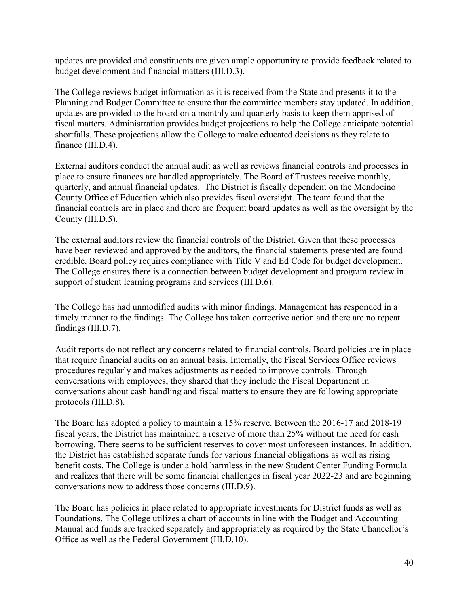updates are provided and constituents are given ample opportunity to provide feedback related to budget development and financial matters (III.D.3).

The College reviews budget information as it is received from the State and presents it to the Planning and Budget Committee to ensure that the committee members stay updated. In addition, updates are provided to the board on a monthly and quarterly basis to keep them apprised of fiscal matters. Administration provides budget projections to help the College anticipate potential shortfalls. These projections allow the College to make educated decisions as they relate to finance (III.D.4).

External auditors conduct the annual audit as well as reviews financial controls and processes in place to ensure finances are handled appropriately. The Board of Trustees receive monthly, quarterly, and annual financial updates. The District is fiscally dependent on the Mendocino County Office of Education which also provides fiscal oversight. The team found that the financial controls are in place and there are frequent board updates as well as the oversight by the County (III.D.5).

The external auditors review the financial controls of the District. Given that these processes have been reviewed and approved by the auditors, the financial statements presented are found credible. Board policy requires compliance with Title V and Ed Code for budget development. The College ensures there is a connection between budget development and program review in support of student learning programs and services (III.D.6).

The College has had unmodified audits with minor findings. Management has responded in a timely manner to the findings. The College has taken corrective action and there are no repeat findings (III.D.7).

Audit reports do not reflect any concerns related to financial controls. Board policies are in place that require financial audits on an annual basis. Internally, the Fiscal Services Office reviews procedures regularly and makes adjustments as needed to improve controls. Through conversations with employees, they shared that they include the Fiscal Department in conversations about cash handling and fiscal matters to ensure they are following appropriate protocols (III.D.8).

The Board has adopted a policy to maintain a 15% reserve. Between the 2016-17 and 2018-19 fiscal years, the District has maintained a reserve of more than 25% without the need for cash borrowing. There seems to be sufficient reserves to cover most unforeseen instances. In addition, the District has established separate funds for various financial obligations as well as rising benefit costs. The College is under a hold harmless in the new Student Center Funding Formula and realizes that there will be some financial challenges in fiscal year 2022-23 and are beginning conversations now to address those concerns (III.D.9).

The Board has policies in place related to appropriate investments for District funds as well as Foundations. The College utilizes a chart of accounts in line with the Budget and Accounting Manual and funds are tracked separately and appropriately as required by the State Chancellor's Office as well as the Federal Government (III.D.10).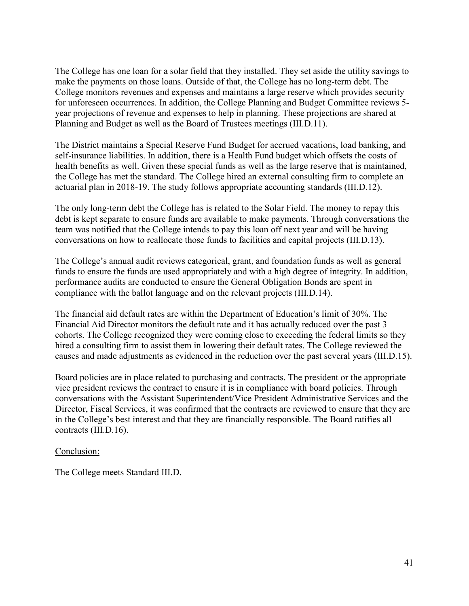The College has one loan for a solar field that they installed. They set aside the utility savings to make the payments on those loans. Outside of that, the College has no long-term debt. The College monitors revenues and expenses and maintains a large reserve which provides security for unforeseen occurrences. In addition, the College Planning and Budget Committee reviews 5 year projections of revenue and expenses to help in planning. These projections are shared at Planning and Budget as well as the Board of Trustees meetings (III.D.11).

The District maintains a Special Reserve Fund Budget for accrued vacations, load banking, and self-insurance liabilities. In addition, there is a Health Fund budget which offsets the costs of health benefits as well. Given these special funds as well as the large reserve that is maintained, the College has met the standard. The College hired an external consulting firm to complete an actuarial plan in 2018-19. The study follows appropriate accounting standards (III.D.12).

The only long-term debt the College has is related to the Solar Field. The money to repay this debt is kept separate to ensure funds are available to make payments. Through conversations the team was notified that the College intends to pay this loan off next year and will be having conversations on how to reallocate those funds to facilities and capital projects (III.D.13).

The College's annual audit reviews categorical, grant, and foundation funds as well as general funds to ensure the funds are used appropriately and with a high degree of integrity. In addition, performance audits are conducted to ensure the General Obligation Bonds are spent in compliance with the ballot language and on the relevant projects (III.D.14).

The financial aid default rates are within the Department of Education's limit of 30%. The Financial Aid Director monitors the default rate and it has actually reduced over the past 3 cohorts. The College recognized they were coming close to exceeding the federal limits so they hired a consulting firm to assist them in lowering their default rates. The College reviewed the causes and made adjustments as evidenced in the reduction over the past several years (III.D.15).

Board policies are in place related to purchasing and contracts. The president or the appropriate vice president reviews the contract to ensure it is in compliance with board policies. Through conversations with the Assistant Superintendent/Vice President Administrative Services and the Director, Fiscal Services, it was confirmed that the contracts are reviewed to ensure that they are in the College's best interest and that they are financially responsible. The Board ratifies all contracts (III.D.16).

#### Conclusion:

The College meets Standard III.D.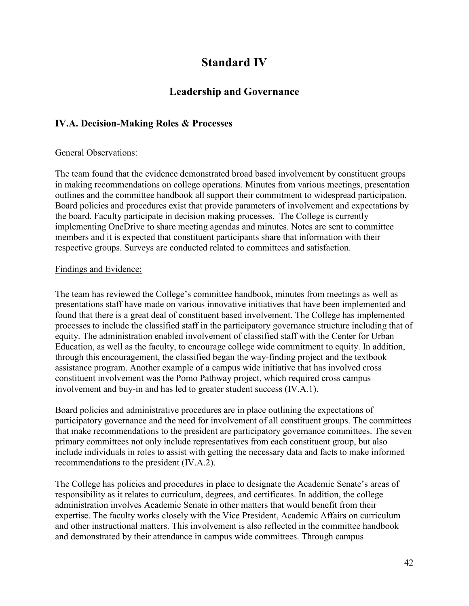# **Standard IV**

## **Leadership and Governance**

## <span id="page-41-1"></span><span id="page-41-0"></span>**IV.A. Decision-Making Roles & Processes**

#### General Observations:

The team found that the evidence demonstrated broad based involvement by constituent groups in making recommendations on college operations. Minutes from various meetings, presentation outlines and the committee handbook all support their commitment to widespread participation. Board policies and procedures exist that provide parameters of involvement and expectations by the board. Faculty participate in decision making processes. The College is currently implementing OneDrive to share meeting agendas and minutes. Notes are sent to committee members and it is expected that constituent participants share that information with their respective groups. Surveys are conducted related to committees and satisfaction.

#### Findings and Evidence:

The team has reviewed the College's committee handbook, minutes from meetings as well as presentations staff have made on various innovative initiatives that have been implemented and found that there is a great deal of constituent based involvement. The College has implemented processes to include the classified staff in the participatory governance structure including that of equity. The administration enabled involvement of classified staff with the Center for Urban Education, as well as the faculty, to encourage college wide commitment to equity. In addition, through this encouragement, the classified began the way-finding project and the textbook assistance program. Another example of a campus wide initiative that has involved cross constituent involvement was the Pomo Pathway project, which required cross campus involvement and buy-in and has led to greater student success (IV.A.1).

Board policies and administrative procedures are in place outlining the expectations of participatory governance and the need for involvement of all constituent groups. The committees that make recommendations to the president are participatory governance committees. The seven primary committees not only include representatives from each constituent group, but also include individuals in roles to assist with getting the necessary data and facts to make informed recommendations to the president (IV.A.2).

The College has policies and procedures in place to designate the Academic Senate's areas of responsibility as it relates to curriculum, degrees, and certificates. In addition, the college administration involves Academic Senate in other matters that would benefit from their expertise. The faculty works closely with the Vice President, Academic Affairs on curriculum and other instructional matters. This involvement is also reflected in the committee handbook and demonstrated by their attendance in campus wide committees. Through campus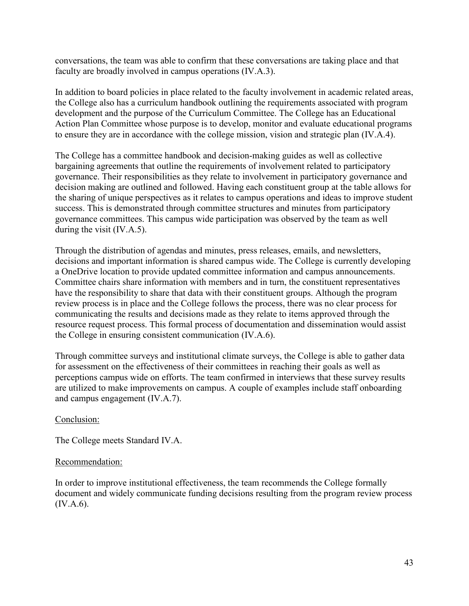conversations, the team was able to confirm that these conversations are taking place and that faculty are broadly involved in campus operations (IV.A.3).

In addition to board policies in place related to the faculty involvement in academic related areas, the College also has a curriculum handbook outlining the requirements associated with program development and the purpose of the Curriculum Committee. The College has an Educational Action Plan Committee whose purpose is to develop, monitor and evaluate educational programs to ensure they are in accordance with the college mission, vision and strategic plan (IV.A.4).

The College has a committee handbook and decision-making guides as well as collective bargaining agreements that outline the requirements of involvement related to participatory governance. Their responsibilities as they relate to involvement in participatory governance and decision making are outlined and followed. Having each constituent group at the table allows for the sharing of unique perspectives as it relates to campus operations and ideas to improve student success. This is demonstrated through committee structures and minutes from participatory governance committees. This campus wide participation was observed by the team as well during the visit (IV.A.5).

Through the distribution of agendas and minutes, press releases, emails, and newsletters, decisions and important information is shared campus wide. The College is currently developing a OneDrive location to provide updated committee information and campus announcements. Committee chairs share information with members and in turn, the constituent representatives have the responsibility to share that data with their constituent groups. Although the program review process is in place and the College follows the process, there was no clear process for communicating the results and decisions made as they relate to items approved through the resource request process. This formal process of documentation and dissemination would assist the College in ensuring consistent communication (IV.A.6).

Through committee surveys and institutional climate surveys, the College is able to gather data for assessment on the effectiveness of their committees in reaching their goals as well as perceptions campus wide on efforts. The team confirmed in interviews that these survey results are utilized to make improvements on campus. A couple of examples include staff onboarding and campus engagement (IV.A.7).

#### Conclusion:

The College meets Standard IV.A.

#### Recommendation:

In order to improve institutional effectiveness, the team recommends the College formally document and widely communicate funding decisions resulting from the program review process (IV.A.6).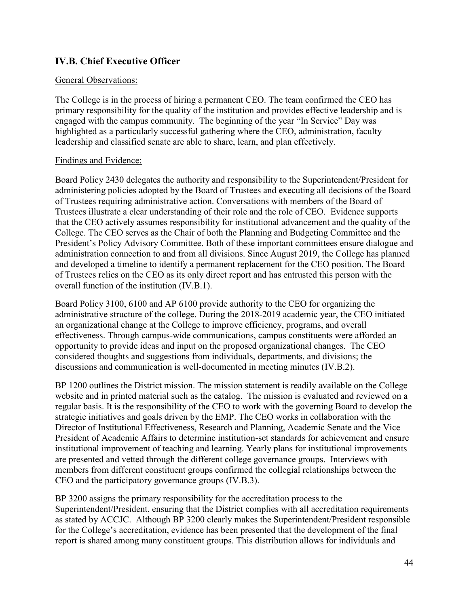## <span id="page-43-0"></span>**IV.B. Chief Executive Officer**

#### General Observations:

The College is in the process of hiring a permanent CEO. The team confirmed the CEO has primary responsibility for the quality of the institution and provides effective leadership and is engaged with the campus community. The beginning of the year "In Service" Day was highlighted as a particularly successful gathering where the CEO, administration, faculty leadership and classified senate are able to share, learn, and plan effectively.

#### Findings and Evidence:

Board Policy 2430 delegates the authority and responsibility to the Superintendent/President for administering policies adopted by the Board of Trustees and executing all decisions of the Board of Trustees requiring administrative action. Conversations with members of the Board of Trustees illustrate a clear understanding of their role and the role of CEO. Evidence supports that the CEO actively assumes responsibility for institutional advancement and the quality of the College. The CEO serves as the Chair of both the Planning and Budgeting Committee and the President's Policy Advisory Committee. Both of these important committees ensure dialogue and administration connection to and from all divisions. Since August 2019, the College has planned and developed a timeline to identify a permanent replacement for the CEO position. The Board of Trustees relies on the CEO as its only direct report and has entrusted this person with the overall function of the institution (IV.B.1).

Board Policy 3100, 6100 and AP 6100 provide authority to the CEO for organizing the administrative structure of the college. During the 2018-2019 academic year, the CEO initiated an organizational change at the College to improve efficiency, programs, and overall effectiveness. Through campus-wide communications, campus constituents were afforded an opportunity to provide ideas and input on the proposed organizational changes. The CEO considered thoughts and suggestions from individuals, departments, and divisions; the discussions and communication is well-documented in meeting minutes (IV.B.2).

BP 1200 outlines the District mission. The mission statement is readily available on the College website and in printed material such as the catalog. The mission is evaluated and reviewed on a regular basis. It is the responsibility of the CEO to work with the governing Board to develop the strategic initiatives and goals driven by the EMP. The CEO works in collaboration with the Director of Institutional Effectiveness, Research and Planning, Academic Senate and the Vice President of Academic Affairs to determine institution-set standards for achievement and ensure institutional improvement of teaching and learning. Yearly plans for institutional improvements are presented and vetted through the different college governance groups. Interviews with members from different constituent groups confirmed the collegial relationships between the CEO and the participatory governance groups (IV.B.3).

BP 3200 assigns the primary responsibility for the accreditation process to the Superintendent/President, ensuring that the District complies with all accreditation requirements as stated by ACCJC. Although BP 3200 clearly makes the Superintendent/President responsible for the College's accreditation, evidence has been presented that the development of the final report is shared among many constituent groups. This distribution allows for individuals and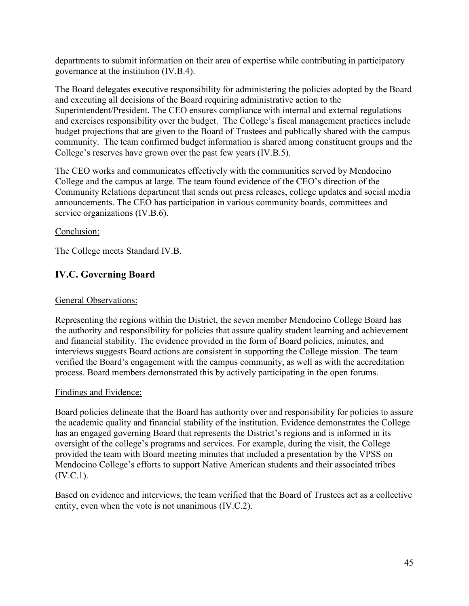departments to submit information on their area of expertise while contributing in participatory governance at the institution (IV.B.4).

The Board delegates executive responsibility for administering the policies adopted by the Board and executing all decisions of the Board requiring administrative action to the Superintendent/President. The CEO ensures compliance with internal and external regulations and exercises responsibility over the budget. The College's fiscal management practices include budget projections that are given to the Board of Trustees and publically shared with the campus community. The team confirmed budget information is shared among constituent groups and the College's reserves have grown over the past few years (IV.B.5).

The CEO works and communicates effectively with the communities served by Mendocino College and the campus at large. The team found evidence of the CEO's direction of the Community Relations department that sends out press releases, college updates and social media announcements. The CEO has participation in various community boards, committees and service organizations (IV.B.6).

#### Conclusion:

The College meets Standard IV.B.

## <span id="page-44-0"></span>**IV.C. Governing Board**

#### General Observations:

Representing the regions within the District, the seven member Mendocino College Board has the authority and responsibility for policies that assure quality student learning and achievement and financial stability. The evidence provided in the form of Board policies, minutes, and interviews suggests Board actions are consistent in supporting the College mission. The team verified the Board's engagement with the campus community, as well as with the accreditation process. Board members demonstrated this by actively participating in the open forums.

#### Findings and Evidence:

Board policies delineate that the Board has authority over and responsibility for policies to assure the academic quality and financial stability of the institution. Evidence demonstrates the College has an engaged governing Board that represents the District's regions and is informed in its oversight of the college's programs and services. For example, during the visit, the College provided the team with Board meeting minutes that included a presentation by the VPSS on Mendocino College's efforts to support Native American students and their associated tribes (IV.C.1).

Based on evidence and interviews, the team verified that the Board of Trustees act as a collective entity, even when the vote is not unanimous (IV.C.2).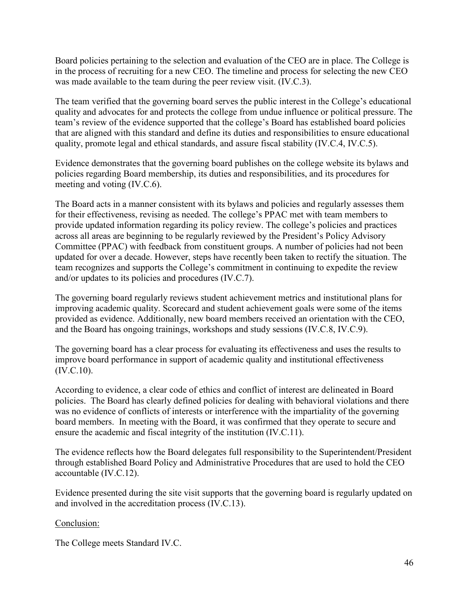Board policies pertaining to the selection and evaluation of the CEO are in place. The College is in the process of recruiting for a new CEO. The timeline and process for selecting the new CEO was made available to the team during the peer review visit. (IV.C.3).

The team verified that the governing board serves the public interest in the College's educational quality and advocates for and protects the college from undue influence or political pressure. The team's review of the evidence supported that the college's Board has established board policies that are aligned with this standard and define its duties and responsibilities to ensure educational quality, promote legal and ethical standards, and assure fiscal stability (IV.C.4, IV.C.5).

Evidence demonstrates that the governing board publishes on the college website its bylaws and policies regarding Board membership, its duties and responsibilities, and its procedures for meeting and voting (IV.C.6).

The Board acts in a manner consistent with its bylaws and policies and regularly assesses them for their effectiveness, revising as needed. The college's PPAC met with team members to provide updated information regarding its policy review. The college's policies and practices across all areas are beginning to be regularly reviewed by the President's Policy Advisory Committee (PPAC) with feedback from constituent groups. A number of policies had not been updated for over a decade. However, steps have recently been taken to rectify the situation. The team recognizes and supports the College's commitment in continuing to expedite the review and/or updates to its policies and procedures (IV.C.7).

The governing board regularly reviews student achievement metrics and institutional plans for improving academic quality. Scorecard and student achievement goals were some of the items provided as evidence. Additionally, new board members received an orientation with the CEO, and the Board has ongoing trainings, workshops and study sessions (IV.C.8, IV.C.9).

The governing board has a clear process for evaluating its effectiveness and uses the results to improve board performance in support of academic quality and institutional effectiveness (IV.C.10).

According to evidence, a clear code of ethics and conflict of interest are delineated in Board policies. The Board has clearly defined policies for dealing with behavioral violations and there was no evidence of conflicts of interests or interference with the impartiality of the governing board members. In meeting with the Board, it was confirmed that they operate to secure and ensure the academic and fiscal integrity of the institution (IV.C.11).

The evidence reflects how the Board delegates full responsibility to the Superintendent/President through established Board Policy and Administrative Procedures that are used to hold the CEO accountable (IV.C.12).

Evidence presented during the site visit supports that the governing board is regularly updated on and involved in the accreditation process (IV.C.13).

#### Conclusion:

The College meets Standard IV.C.